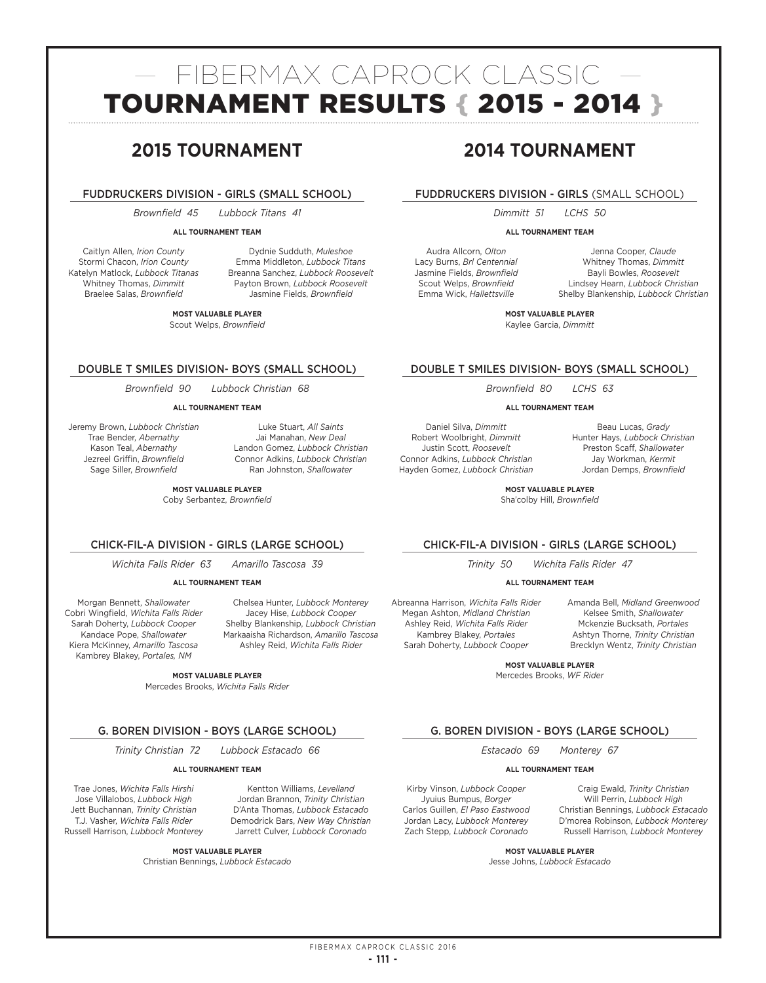# — FIBERMAX CAPROCK CLASSIC — TOURNAMENT RESULTS { 2015 - 2014 }

# **2015 TOURNAMENT**

# FUDDRUCKERS DIVISION - GIRLS (SMALL SCHOOL)

*Brownfield 45 Lubbock Titans 41*

# **ALL TOURNAMENT TEAM**

Caitlyn Allen, *Irion County* Stormi Chacon, *Irion County* Katelyn Matlock, *Lubbock Titanas* Whitney Thomas, *Dimmitt* Braelee Salas, *Brownfield*

Dydnie Sudduth, *Muleshoe* Emma Middleton, *Lubbock Titans* Breanna Sanchez, *Lubbock Roosevelt* Payton Brown, *Lubbock Roosevelt* Jasmine Fields, *Brownfield*

**MOST VALUABLE PLAYER** Scout Welps, *Brownfield*

# DOUBLE T SMILES DIVISION- BOYS (SMALL SCHOOL)

*Brownfield 90 Lubbock Christian 68*

# **ALL TOURNAMENT TEAM**

Jeremy Brown, *Lubbock Christian* Trae Bender, *Abernathy* Kason Teal, *Abernathy* Jezreel Griffin, *Brownfield* Sage Siller, *Brownfield*

Luke Stuart, *All Saints* Jai Manahan, *New Deal* Landon Gomez, *Lubbock Christian* Connor Adkins, *Lubbock Christian* Ran Johnston, *Shallowater*

Chelsea Hunter, *Lubbock Monterey* Jacey Hise, *Lubbock Cooper* Shelby Blankenship, *Lubbock Christian* Markaaisha Richardson, *Amarillo Tascosa* Ashley Reid, *Wichita Falls Rider*

**MOST VALUABLE PLAYER**

Coby Serbantez, *Brownfield*

# CHICK-FIL-A DIVISION - GIRLS (LARGE SCHOOL)

*Wichita Falls Rider 63 Amarillo Tascosa 39*

# **ALL TOURNAMENT TEAM**

Morgan Bennett, *Shallowater* Cobri Wingfield, *Wichita Falls Rider* Sarah Doherty, *Lubbock Cooper* Kandace Pope, *Shallowater* Kiera McKinney, *Amarillo Tascosa* Kambrey Blakey, *Portales, NM*

**MOST VALUABLE PLAYER**

Mercedes Brooks, *Wichita Falls Rider*

# G. BOREN DIVISION - BOYS (LARGE SCHOOL)

*Trinity Christian 72 Lubbock Estacado 66*

# **ALL TOURNAMENT TEAM**

Trae Jones, *Wichita Falls Hirshi* Jose Villalobos, *Lubbock High* Jett Buchannan, *Trinity Christian* T.J. Vasher, *Wichita Falls Rider* Russell Harrison, *Lubbock Monterey*

Demodrick Bars, *New Way Christian* Jarrett Culver, *Lubbock Coronado*

Kentton Williams, *Levelland* Jordan Brannon, *Trinity Christian*  D'Anta Thomas, *Lubbock Estacado*

**MOST VALUABLE PLAYER**

Christian Bennings, *Lubbock Estacado* 

# **2014 TOURNAMENT**

# FUDDRUCKERS DIVISION - GIRLS (SMALL SCHOOL)

*Dimmitt 51 LCHS 50*

# **ALL TOURNAMENT TEAM**

Audra Allcorn, *Olton* Lacy Burns, *Brl Centennial* Jasmine Fields, *Brownfield* Scout Welps, *Brownfield* Emma Wick, *Hallettsville*

Jenna Cooper, *Claude* Whitney Thomas, *Dimmitt* Bayli Bowles, *Roosevelt* Lindsey Hearn, *Lubbock Christian* Shelby Blankenship, *Lubbock Christian*

**MOST VALUABLE PLAYER** Kaylee Garcia, *Dimmitt*

# DOUBLE T SMILES DIVISION- BOYS (SMALL SCHOOL)

*Brownfield 80 LCHS 63*

# **ALL TOURNAMENT TEAM**

Daniel Silva, *Dimmitt* Robert Woolbright, *Dimmitt* Justin Scott, *Roosevelt* Connor Adkins, *Lubbock Christian* Hayden Gomez, *Lubbock Christian*

Beau Lucas, *Grady* Hunter Hays, *Lubbock Christian* Preston Scaff, *Shallowater* Jay Workman, *Kermit* Jordan Demps, *Brownfield*

**MOST VALUABLE PLAYER** Sha'colby Hill, *Brownfield*

# CHICK-FIL-A DIVISION - GIRLS (LARGE SCHOOL)

*Trinity 50 Wichita Falls Rider 47*

# **ALL TOURNAMENT TEAM**

Abreanna Harrison, *Wichita Falls Rider* Megan Ashton, *Midland Christian* Ashley Reid, *Wichita Falls Rider* Kambrey Blakey, *Portales* Sarah Doherty, *Lubbock Cooper*

Amanda Bell, *Midland Greenwood* Kelsee Smith, *Shallowater* Mckenzie Bucksath, *Portales* Ashtyn Thorne, *Trinity Christian* Brecklyn Wentz, *Trinity Christian*

**MOST VALUABLE PLAYER** Mercedes Brooks, *WF Rider*

# G. BOREN DIVISION - BOYS (LARGE SCHOOL)

*Estacado 69 Monterey 67*

# **ALL TOURNAMENT TEAM**

Kirby Vinson, *Lubbock Cooper* Jyuius Bumpus, *Borger* Carlos Guillen, *El Paso Eastwood* Jordan Lacy, *Lubbock Monterey* Zach Stepp, *Lubbock Coronado*

Craig Ewald, *Trinity Christian* Will Perrin, *Lubbock High* Christian Bennings, *Lubbock Estacado* D'morea Robinson, *Lubbock Monterey* Russell Harrison, *Lubbock Monterey*

**MOST VALUABLE PLAYER**

Jesse Johns, *Lubbock Estacado*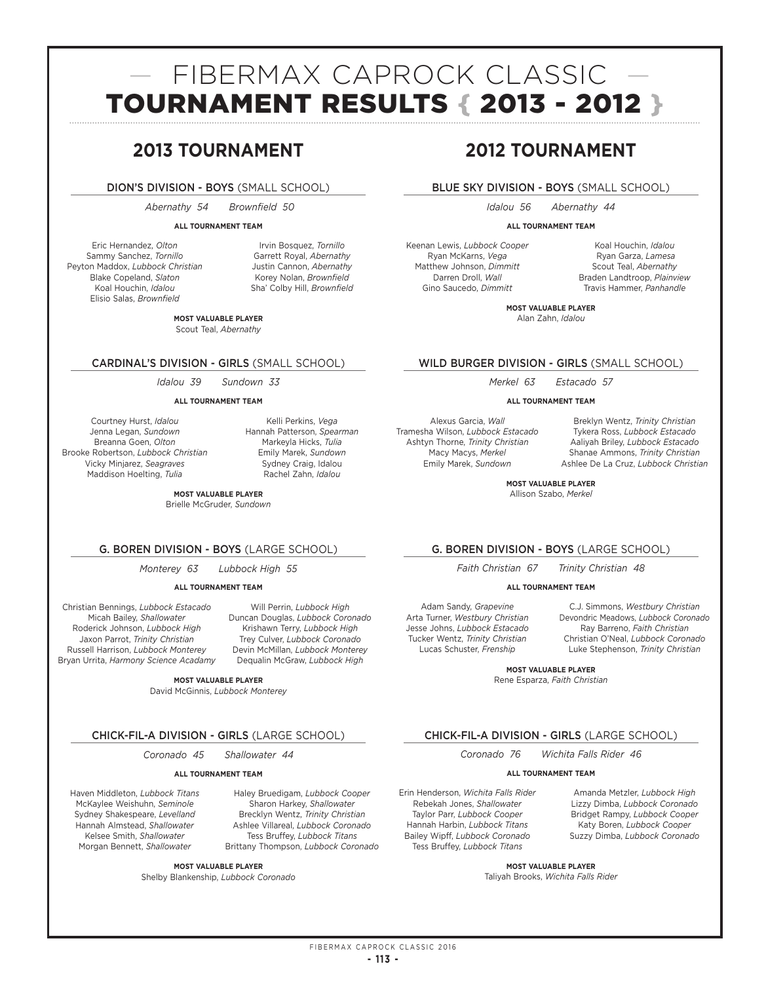# — FIBERMAX CAPROCK CLASSIC — TOURNAMENT RESULTS { 2013 - 2012 }

# **2013 TOURNAMENT**

# DION'S DIVISION - BOYS (SMALL SCHOOL)

 *Abernathy 54 Brownfield 50* 

# **ALL TOURNAMENT TEAM**

Eric Hernandez, *Olton* Sammy Sanchez, *Tornillo* Peyton Maddox, *Lubbock Christian* Blake Copeland, *Slaton* Koal Houchin, *Idalou* Elisio Salas, *Brownfield*

Irvin Bosquez, *Tornillo* Garrett Royal, *Abernathy* Justin Cannon, *Abernathy* Korey Nolan, *Brownfield* Sha' Colby Hill, *Brownfield*

**MOST VALUABLE PLAYER** Scout Teal, *Abernathy*

# CARDINAL'S DIVISION - GIRLS (SMALL SCHOOL)

*Idalou 39 Sundown 33*

**ALL TOURNAMENT TEAM**

Courtney Hurst, *Idalou* Jenna Legan, *Sundown* Breanna Goen, *Olton* Brooke Robertson, *Lubbock Christian* Vicky Minjarez, *Seagraves* Maddison Hoelting, *Tulia*

Kelli Perkins, *Vega* Hannah Patterson, *Spearman* Markeyla Hicks, *Tulia* Emily Marek, *Sundown* Sydney Craig, Idalou Rachel Zahn, *Idalou*

Will Perrin, *Lubbock High* Duncan Douglas, *Lubbock Coronado* Krishawn Terry, *Lubbock High* Trey Culver, *Lubbock Coronado* Devin McMillan, *Lubbock Monterey* Dequalin McGraw, *Lubbock High*

Haley Bruedigam, *Lubbock Cooper* Sharon Harkey, *Shallowater* Brecklyn Wentz, *Trinity Christian* Ashlee Villareal, *Lubbock Coronado* Tess Bruffey, *Lubbock Titans* Brittany Thompson, *Lubbock Coronado*

**MOST VALUABLE PLAYER** Brielle McGruder, *Sundown*

# G. BOREN DIVISION - BOYS (LARGE SCHOOL)

*Monterey 63 Lubbock High 55* 

# **ALL TOURNAMENT TEAM**

Christian Bennings, *Lubbock Estacado* Micah Bailey, *Shallowater* Roderick Johnson, *Lubbock High* Jaxon Parrot, *Trinity Christian* Russell Harrison, *Lubbock Monterey* Bryan Urrita, *Harmony Science Acadamy*

**MOST VALUABLE PLAYER**

David McGinnis, *Lubbock Monterey*

# CHICK-FIL-A DIVISION - GIRLS (LARGE SCHOOL)

*Coronado 45 Shallowater 44* 

# **ALL TOURNAMENT TEAM**

Haven Middleton, *Lubbock Titans* McKaylee Weishuhn, *Seminole* Sydney Shakespeare, *Levelland* Hannah Almstead, *Shallowater* Kelsee Smith, *Shallowater* Morgan Bennett, *Shallowater*

**MOST VALUABLE PLAYER**

Shelby Blankenship, *Lubbock Coronado*

# **2012 TOURNAMENT**

# BLUE SKY DIVISION - BOYS (SMALL SCHOOL)

*Idalou 56 Abernathy 44*

# **ALL TOURNAMENT TEAM**

Keenan Lewis, *Lubbock Cooper* Ryan McKarns, *Vega* Matthew Johnson, *Dimmitt* Darren Droll, *Wall* Gino Saucedo, *Dimmitt*

Koal Houchin, *Idalou* Ryan Garza, *Lamesa* Scout Teal, *Abernathy* Braden Landtroop, *Plainview* Travis Hammer, *Panhandle*

**MOST VALUABLE PLAYER** Alan Zahn, *Idalou*

# WILD BURGER DIVISION - GIRLS (SMALL SCHOOL)

*Merkel 63 Estacado 57*

**ALL TOURNAMENT TEAM**

Alexus Garcia, *Wall* Tramesha Wilson, *Lubbock Estacado* Ashtyn Thorne, *Trinity Christian* Macy Macys, *Merkel* Emily Marek, *Sundown*

Breklyn Wentz, *Trinity Christian* Tykera Ross, *Lubbock Estacado* Aaliyah Briley, *Lubbock Estacado* Shanae Ammons, *Trinity Christian* Ashlee De La Cruz, *Lubbock Christian*

**MOST VALUABLE PLAYER** Allison Szabo, *Merkel*

G. BOREN DIVISION - BOYS (LARGE SCHOOL)

*Faith Christian 67 Trinity Christian 48*

**ALL TOURNAMENT TEAM**

Adam Sandy, *Grapevine* Arta Turner, *Westbury Christian* Jesse Johns, *Lubbock Estacado* Tucker Wentz, *Trinity Christian* Lucas Schuster, *Frenship*

C.J. Simmons, *Westbury Christian* Devondric Meadows, *Lubbock Coronado* Ray Barreno, *Faith Christian* Christian O'Neal, *Lubbock Coronado* Luke Stephenson, *Trinity Christian*

**MOST VALUABLE PLAYER** Rene Esparza, *Faith Christian*

# CHICK-FIL-A DIVISION - GIRLS (LARGE SCHOOL)

*Coronado 76 Wichita Falls Rider 46*

# **ALL TOURNAMENT TEAM**

Erin Henderson, *Wichita Falls Rider* Rebekah Jones, *Shallowater* Taylor Parr, *Lubbock Cooper* Hannah Harbin, *Lubbock Titans* Bailey Wipff, *Lubbock Coronado* Tess Bruffey, *Lubbock Titans*

Amanda Metzler, *Lubbock High* Lizzy Dimba, *Lubbock Coronado* Bridget Rampy, *Lubbock Cooper* Katy Boren, *Lubbock Cooper* Suzzy Dimba, *Lubbock Coronado*

**MOST VALUABLE PLAYER** Taliyah Brooks, *Wichita Falls Rider*

FIBERMAX CAPROCK CLASSIC 2016 **- 113 -**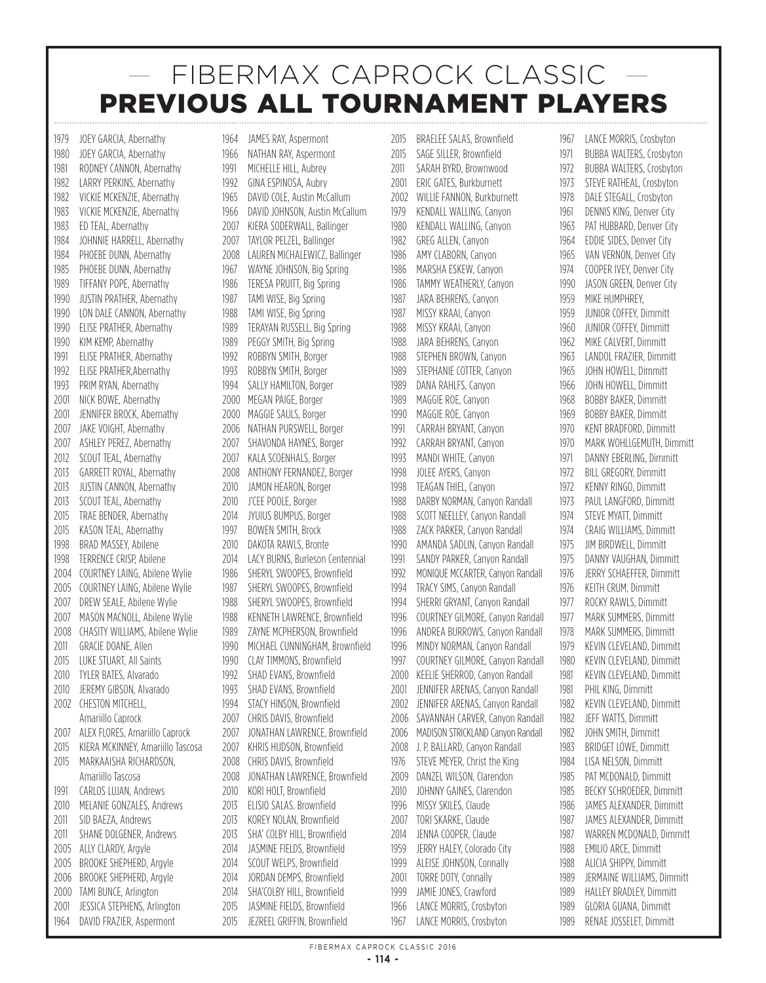1979 JOEY GARCIA, Abernathy 1980 JOEY GARCIA, Abernathy 1981 RODNEY CANNON, Abernathy 1982 LARRY PERKINS, Abernathy 1982 VICKIF MCKENZIE, Abernathy 1983 VICKIE MCKENZIE, Abernathy 1983 ED TEAL, Abernathy 1984 JOHNNIE HARRELL, Abernathy 1984 PHOFBE DUNN, Abernathy 1985 PHOEBE DUNN, Abernathy 1989 TIFFANY POPE, Abernathy 1990 JUSTIN PRATHER, Abernathy 1990 LON DALE CANNON, Abernathy 1990 ELISE PRATHER, Abernathy 1990 KIM KEMP, Abernathy 1991 ELISE PRATHER, Abernathy 1992 ELISE PRATHER, Abernathy 1993 PRIM RYAN, Abernathy 2001 NICK BOWE, Abernathy 2001 JENNIFER BROCK, Abernathy 2007 JAKE VOIGHT, Abernathy 2007 ASHLEY PEREZ, Abernathy 2012 SCOUT TEAL, Abernathy 2013 GARRETT ROYAL, Abernathy 2013 **JUSTIN CANNON, Abernathy** 2013 SCOUT TEAL, Abernathy 2015 TRAE BENDER, Abernathy 2015 KASON TEAL, Abernathy 1998 BRAD MASSEY, Abilene 1998 TERRENCE CRISP, Abilene 2004 COURTNEY LAING, Abilene Wylie 2005 COURTNEY LAING, Abilene Wylie 2007 DREW SEALE, Abilene Wylie 2007 MASON MACNOLL, Abilene Wylie 2008 CHASITY WILLIAMS, Abilene Wylie 2011 GRACIF DOANE, Allen 2015 LUKE STUART, All Saints 2010 TYLER BATES, Alvarado 2010 JEREMY GIBSON, Alvarado 2002 CHESTON MITCHELL, Amariillo Caprock 2007 ALEX FLORES, Amariillo Caprock 2015 KIERA MCKINNEY, Amariillo Tascosa 2015 MARKAAISHA RICHARDSON, Amariillo Tascosa 1991 CARLOS LUJAN, Andrews 2010 MELANIE GONZALES, Andrews 2011 SID BAEZA, Andrews 2011 SHANE DOLGENER, Andrews 2005 ALLY CLARDY, Argyle 2005 BROOKE SHEPHERD, Argyle 2006 BROOKE SHEPHERD, Argyle 2000 TAMI BUNCE, Arlington 2001 JESSICA STEPHENS, Arlington 1964 DAVID FRAZIER, Aspermont

1964 JAMES RAY, Aspermont 1966 NATHAN RAY, Aspermont 1991 MICHELLE HILL, Aubrey 1992 GINA ESPINOSA, Aubry 1965 DAVID COLE, Austin McCallum 1966 DAVID JOHNSON, Austin McCallum 2007 KIERA SODERWALL, Ballinger 2007 TAYLOR PELZEL, Ballinger 2008 LAUREN MICHALEWICZ, Ballinger 1967 WAYNE JOHNSON, Big Spring 1986 TERESA PRUITT, Big Spring 1987 TAMI WISE, Big Spring 1988 TAMI WISE, Big Spring 1989 TERAYAN RUSSELL, Big Spring 1989 PEGGY SMITH, Big Spring 1992 ROBBYN SMITH, Borger 1993 ROBBYN SMITH, Borger 1994 SALLY HAMILTON, Borger 2000 MFGAN PAIGE, Borger 2000 MAGGIE SAULS, Borger 2006 NATHAN PURSWELL, Borger 2007 SHAVONDA HAYNES, Borger 2007 KALA SCOENHALS, Borger 2008 ANTHONY FERNANDEZ, Borger 2010 JAMON HEARON, Borger 2010 J'CEE POOLE, Borger 2014 JYUIUS BUMPUS, Borger 1997 BOWEN SMITH, Brock 2010 DAKOTA RAWLS, Bronte 2014 LACY BURNS, Burleson Centennial 1986 SHERYL SWOOPES, Brownfield 1987 SHERYL SWOOPES, Brownfield 1988 SHERYL SWOOPES, Brownfield 1988 KENNETH LAWRENCE, Brownfield 1989 ZAYNE MCPHERSON, Brownfield 1990 MICHAEL CUNNINGHAM, Brownfield 1990 CLAY TIMMONS, Brownfield 1992 SHAD EVANS, Brownfield 1993 SHAD EVANS, Brownfield 1994 STACY HINSON, Brownfield 2007 CHRIS DAVIS, Brownfield 2007 JONATHAN LAWRENCE, Brownfield 2007 KHRIS HUDSON, Brownfield 2008 CHRIS DAVIS, Brownfield 2008 JONATHAN LAWRENCE, Brownfield 2010 KORI HOLT, Brownfield 2013 **ELISIO SALAS. Brownfield** 2013 KOREY NOLAN, Brownfield 2013 SHA' COLBY HILL, Brownfield 2014 JASMINE FIELDS, Brownfield 2014 SCOUT WELPS, Brownfield 2014 JORDAN DEMPS, Brownfield 2014 SHA'COLBY HILL, Brownfield 2015 JASMINE FIELDS, Brownfield

2015 **JEZREEL GRIFFIN, Brownfield** 

2015 BRAELEE SALAS, Brownfield 2015 SAGE SILLER, Brownfield 2011 SARAH BYRD, Brownwood 2001 FRIC GATES, Burkburnett 2002 WILLIE FANNON, Burkburnett 1979 KENDALL WALLING, Canyon 1980 KENDALL WALLING, Canyon 1982 GREG ALLEN, Canyon 1986 AMY CLABORN, Canyon 1986 MARSHA ESKEW, Canyon 1986 TAMMY WEATHERLY, Canyon 1987 JARA BEHRENS, Canyon 1987 MISSY KRAAI, Canyon 1988 MISSY KRAAI, Canyon 1988 JARA BEHRENS, Canyon 1988 STEPHEN BROWN, Canyon 1989 STEPHANIE COTTER, Canyon 1989 DANA RAHLFS, Canyon 1989 MAGGIF ROE, Canyon 1990 MAGGIE ROE, Canyon 1991 CARRAH BRYANT, Canyon 1992 CARRAH BRYANT, Canyon 1993 MANDI WHITE, Canyon 1998 **JOLEE AYERS, Canyon** 1998 TEAGAN THIEL, Canyon 1988 DARBY NORMAN, Canyon Randall 1988 SCOTT NEELLEY, Canvon Randall 1988 ZACK PARKER, Canyon Randall 1990 AMANDA SADLIN, Canyon Randall 1991 SANDY PARKER, Canyon Randall 1992 MONIQUE MCCARTER, Canyon Randall 1994 TRACY SIMS, Canyon Randall 1994 SHERRI GRYANT, Canyon Randall 1996 COURTNEY GILMORE, Canyon Randall 1996 ANDREA BURROWS, Canyon Randall 1996 MINDY NORMAN, Canyon Randall 1997 COURTNEY GILMORE, Canyon Randall 2000 KEELIE SHERROD, Canvon Randall 2001 **JENNIFER ARENAS, Canyon Randall** 2002 JENNIFER ARENAS, Canyon Randall 2006 SAVANNAH CARVER, Canyon Randall 2006 MADISON STRICKLAND Canvon Randall 2008 J. P. BALLARD, Canvon Randall 1976 STEVE MEYER, Christ the King 2009 DANZEL WILSON, Clarendon 2010 JOHNNY GAINES, Clarendon 1996 MISSY SKILES, Claude 2007 TORI SKARKE, Claude 2014 **JENNA COOPER, Claude** 1959 JERRY HALEY, Colorado City 1999 ALEISE JOHNSON, Connally 2001 TORRE DOTY, Connally 1999 JAMIE JONES, Crawford 1966 LANCE MORRIS, Crosbyton

1967 LANCE MORRIS, Crosbyton 1971 BUBBA WALTERS, Crosbyton 1972 BUBBA WALTERS, Crosbyton 1973 STEVE RATHEAL, Crosbyton 1978 DALE STEGALL, Crosbyton 1961 DENNIS KING, Denver City 1963 PAT HUBBARD, Denver City 1964 EDDIE SIDES, Denver City 1965 VAN VERNON, Denver City 1974 COOPER IVEY, Denver City 1990 JASON GREEN, Denver City 1959 MIKE HUMPHREY, 1959 JUNIOR COFFEY, Dimmitt 1960 **JUNIOR COFFEY, Dimmitt** 1962 MIKE CALVERT, Dimmitt 1963 LANDOL FRAZIER, Dimmitt 1965 JOHN HOWELL, Dimmitt 1966 JOHN HOWELL, Dimmitt 1968 BOBBY BAKER, Dimmitt 1969 BOBBY BAKER, Dimmitt 1970 KENT BRADFORD, Dimmitt 1970 MARK WOHLLGEMUTH, Dimmitt 1971 DANNY EBERLING, Dimmitt 1972 BILL GREGORY, Dimmitt 1972 KENNY RINGO, Dimmitt 1973 PAUL LANGFORD, Dimmitt 1974 STEVE MYATT, Dimmitt 1974 CRAIG WILLIAMS, Dimmitt 1975 JIM BIRDWELL, Dimmitt 1975 DANNY VAUGHAN, Dimmitt 1976 JERRY SCHAEFFER, Dimmitt 1976 KEITH CRUM, Dimmitt 1977 ROCKY RAWLS, Dimmitt 1977 MARK SUMMERS, Dimmitt 1978 MARK SUMMERS, Dimmitt 1979 KEVIN CLEVELAND, Dimmitt 1980 KEVIN CLEVELAND, Dimmitt 1981 KEVIN CLEVELAND, Dimmitt 1981 PHIL KING, Dimmitt 1982 KEVIN CLEVELAND, Dimmitt 1982 JEFF WATTS, Dimmitt 1982 JOHN SMITH, Dimmitt 1983 BRIDGET LOWE, Dimmitt 1984 LISA NELSON, Dimmitt 1985 PAT MCDONALD, Dimmitt 1985 BECKY SCHROEDER, Dimmitt 1986 JAMES ALEXANDER, Dimmitt 1987 JAMES ALEXANDER, Dimmitt 1987 WARREN MCDONALD, Dimmitt 1988 EMILIO ARCE, Dimmitt 1988 ALICIA SHIPPY, Dimmitt 1989 JERMAINE WILLIAMS, Dimmitt 1989 HALLEY BRADLEY, Dimmitt 1989 GLORIA GUANA, Dimmitt 1989 RENAE JOSSELET, Dimmitt

1967 LANCE MORRIS, Crosbyton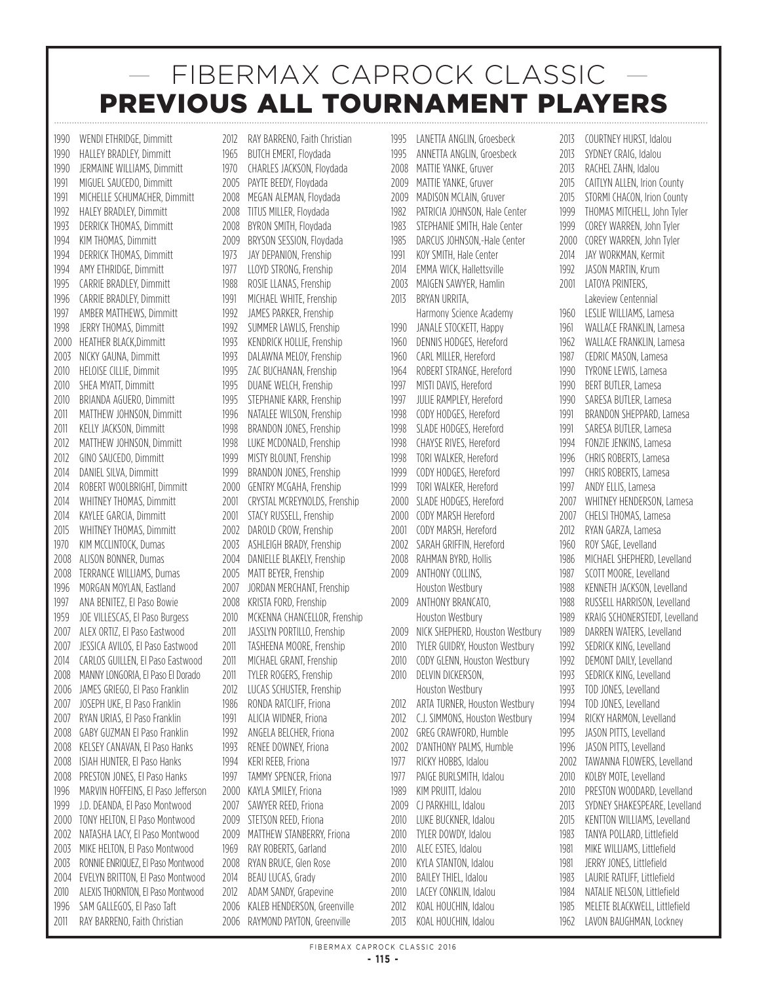1990 WENDI ETHRIDGE, Dimmitt 1990 HALLEY BRADLEY, Dimmitt 1990 JERMAINE WILLIAMS, Dimmitt 1991 MIGUEL SAUCEDO, Dimmitt 1991 MICHELLE SCHUMACHER, Dimmitt 1992 HALEY BRADLEY, Dimmitt 1993 DERRICK THOMAS, Dimmitt 1994 KIM THOMAS, Dimmitt 1994 DERRICK THOMAS, Dimmitt 1994 AMY ETHRIDGE, Dimmitt 1995 CARRIE BRADLEY, Dimmitt 1996 CARRIE BRADLEY, Dimmitt 1997 AMBER MATTHEWS, Dimmitt 1998 JERRY THOMAS, Dimmitt 2000 HEATHER BLACK,Dimmitt 2003 NICKY GAUNA, Dimmitt 2010 HELOISE CILLIE, Dimmit 2010 SHEA MYATT, Dimmitt 2010 BRIANDA AGUERO, Dimmitt 2011 MATTHEW JOHNSON, Dimmitt 2011 KELLY JACKSON, Dimmitt 2012 MATTHEW JOHNSON, Dimmitt 2012 GINO SAUCEDO, Dimmitt 2014 DANIEL SILVA, Dimmitt 2014 ROBERT WOOLBRIGHT, Dimmitt 2014 WHITNEY THOMAS, Dimmitt 2014 KAYLEE GARCIA, Dimmitt 2015 WHITNEY THOMAS, Dimmitt 1970 KIM MCCLINTOCK, Dumas 2008 ALISON BONNER, Dumas 2008 TERRANCE WILLIAMS, Dumas 1996 MORGAN MOYLAN, Eastland 1997 ANA BENITEZ, El Paso Bowie 1959 **JOE VILLESCAS, EL Paso Burgess** 2007 ALEX ORTIZ, El Paso Eastwood 2007 JESSICA AVILOS, El Paso Eastwood 2014 CARLOS GUILLEN, El Paso Eastwood 2008 MANNYLONGORIA,ElPasoEl Dorado 2006 JAMES GRIEGO, El Paso Franklin 2007 JOSEPH UKE, El Paso Franklin 2007 RYAN URIAS, El Paso Franklin 2008 GABY GUZMAN El Paso Franklin 2008 KELSEY CANAVAN, El Paso Hanks 2008 ISIAH HUNTER, El Paso Hanks 2008 PRESTON JONES, El Paso Hanks 1996 MARVIN HOFFEINS, El Paso Jefferson 1999 J.D. DEANDA, El Paso Montwood 2000 TONY HELTON, El Paso Montwood 2002 NATASHA LACY, El Paso Montwood 2003 MIKE HELTON, El Paso Montwood 2003 RONNIE ENRIQUEZ, El Paso Montwood 2004 EVELYN BRITTON, El Paso Montwood 2010 ALEXIS THORNTON, El Paso Montwood 1996 SAM GALLEGOS, El Paso Taft 2011 RAY BARRENO, Faith Christian

2012 RAY BARRENO, Faith Christian 1965 BUTCH EMERT, Floydada 1970 CHARLES JACKSON, Floydada 2005 PAYTE BEEDY, Floydada 2008 MEGAN ALEMAN, Floydada 2008 TITUS MILLER, Floydada 2008 BYRON SMITH, Floydada 2009 BRYSON SESSION, Floydada 1973 JAY DEPANION, Frenship 1977 **LLOYD STRONG, Frenship** 1988 ROSIE LLANAS, Frenship 1991 MICHAEL WHITE, Frenship 1992 JAMES PARKER, Frenship 1992 SUMMER LAWLIS, Frenship 1993 KENDRICK HOLLIE, Frenship 1993 DALAWNA MELOY, Frenship 1995 ZAC BUCHANAN, Frenship 1995 DUANE WELCH, Frenship 1995 STEPHANIE KARR, Frenship 1996 NATALEE WILSON, Frenship 1998 BRANDON JONES, Frenship 1998 LUKE MCDONALD, Frenship 1999 MISTY BLOUNT, Frenship 1999 BRANDON JONES, Frenship 2000 GENTRY MCGAHA, Frenship 2001 CRYSTAL MCREYNOLDS, Frenship 2001 STACY RUSSELL, Frenship 2002 DAROLD CROW, Frenship 2003 ASHLEIGH BRADY, Frenship 2004 DANIELLE BLAKELY, Frenship 2005 MATT BEYER, Frenship 2007 JORDAN MERCHANT, Frenship 2008 KRISTA FORD, Frenship 2010 MCKENNA CHANCELLOR, Frenship 2011 JASSLYN PORTILLO, Frenship 2011 TASHEENA MOORE, Frenship 2011 MICHAEL GRANT, Frenship 2011 TYLER ROGERS, Frenship 2012 **LUCAS SCHUSTER, Frenship** 1986 RONDA RATCLIFF, Friona 1991 ALICIA WIDNER, Friona 1992 ANGELA BELCHER, Friona 1993 RENEE DOWNEY, Friona 1994 KFRI RFFB, Friona 1997 TAMMY SPENCER, Friona 2000 KAYLA SMILEY, Friona 2007 SAWYER REED, Friona 2009 STETSON REED, Friona 2009 MATTHEW STANBERRY, Friona 1969 RAY ROBERTS, Garland 2008 RYAN BRUCE, Glen Rose 2014 BEAU LUCAS, Grady 2012 ADAM SANDY, Grapevine

2006 KALEB HENDERSON, Greenville 2006 RAYMOND PAYTON, Greenville

1995 LANETTA ANGLIN, Groesbeck 1995 ANNETTA ANGLIN, Groesbeck 2008 MATTIE YANKE, Gruver 2009 MATTIF YANKE, Gruver 2009 MADISON MCLAIN, Gruver 1982 PATRICIA JOHNSON, Hale Center 1983 STEPHANIE SMITH, Hale Center 1985 DARCUS JOHNSON, -Hale Center 1991 KOY SMITH, Hale Center 2014 EMMA WICK, Hallettsville 2003 MAIGEN SAWYER, Hamlin 2013 BRYAN URRITA, Harmony Science Academy 1990 JANALE STOCKETT, Happy 1960 DENNIS HODGES, Hereford 1960 CARL MILLER, Hereford 1964 ROBERT STRANGE, Hereford 1997 MISTI DAVIS, Hereford 1997 JULIF RAMPLEY, Hereford 1998 CODY HODGES, Hereford 1998 SLADE HODGES, Hereford 1998 CHAYSE RIVES, Hereford 1998 TORI WALKER, Hereford 1999 CODY HODGES, Hereford 1999 TORI WALKER, Hereford 2000 SLADE HODGES, Hereford 2000 CODY MARSH Hereford 2001 CODY MARSH, Hereford 2002 SARAH GRIFFIN, Hereford 2008 RAHMAN BYRD, Hollis 2009 ANTHONY COLLINS, Houston Westbury 2009 ANTHONY BRANCATO, Houston Westbury 2009 NICK SHEPHERD, Houston Westbury 2010 TYLER GUIDRY, Houston Westbury 2010 CODY GLENN, Houston Westbury 2010 DELVIN DICKERSON. Houston Westbury 2012 ARTA TURNER, Houston Westbury 2012 C.J. SIMMONS, Houston Westbury 2002 GREG CRAWFORD, Humble 2002 D'ANTHONY PALMS, Humble 1977 RICKY HOBBS, Idalou 1977 PAIGE BURLSMITH, Idalou 1989 KIM PRUITT, Idalou 2009 CJ PARKHILL, Idalou 2010 LUKE BUCKNER, Idalou 2010 TYLER DOWDY, Idalou 2010 ALEC ESTES, Idalou 2010 KYLA STANTON, Idalou 2010 BAILEY THIEL, Idalou 2010 LACEY CONKLIN, Idalou 2012 KOAL HOUCHIN, Idalou

2013 COURTNEY HURST, Idalou 2013 SYDNEY CRAIG, Idalou 2013 RACHEL ZAHN, Idalou 2015 CAITLYN ALLEN, Irion County 2015 STORMI CHACON, Irion County 1999 THOMAS MITCHELL, John Tyler 1999 COREY WARREN, John Tyler 2000 COREY WARREN, John Tyler 2014 JAY WORKMAN, Kermit 1992 **JASON MARTIN, Krum** 2001 LATOYA PRINTERS, Lakeview Centennial 1960 LESLIE WILLIAMS, Lamesa 1961 WALLACE FRANKLIN, Lamesa 1962 WALLACE FRANKLIN, Lamesa 1987 CEDRIC MASON, Lamesa 1990 TYRONE LEWIS, Lamesa 1990 BERT BUTLER, Lamesa 1990 SARESA BUTLER, Lamesa 1991 BRANDON SHEPPARD, Lamesa 1991 SARESA BUTLER, Lamesa 1994 FONZIE JENKINS, Lamesa 1996 CHRIS ROBERTS, Lamesa 1997 CHRIS ROBERTS, Lamesa 1997 ANDY FILIS, Lamesa 2007 WHITNEY HENDERSON, Lamesa 2007 CHELSI THOMAS, Lamesa 2012 RYAN GARZA, Lamesa 1960 ROY SAGE, Levelland 1986 MICHAEL SHEPHERD, Levelland 1987 SCOTT MOORE, Levelland 1988 KENNETH JACKSON, Levelland 1988 RUSSELL HARRISON, Levelland 1989 KRAIG SCHONERSTEDT Levelland 1989 DARREN WATERS, Levelland 1992 SEDRICK KING, Levelland 1992 DEMONT DAILY, Levelland 1993 SEDRICK KING, Levelland 1993 TOD JONES, Levelland 1994 TOD JONES, Levelland 1994 RICKY HARMON, Levelland 1995 JASON PITTS, Levelland 1996 JASON PITTS, Levelland 2002 TAWANNA FLOWERS, Levelland 2010 KOLBY MOTE, Levelland 2010 PRESTON WOODARD, Levelland 2013 SYDNEY SHAKESPEARE, Levelland 2015 KENTTON WILLIAMS, Levelland 1983 TANYA POLLARD, Littlefield 1981 MIKE WILLIAMS, Littlefield 1981 JERRY JONES, Littlefield 1983 LAURIE RATLIFF, Littlefield 1984 NATALIE NELSON, Littlefield 1985 MELETE BLACKWELL, Littlefield 1962 LAVON BAUGHMAN, Lockney

2013 KOAL HOUCHIN, Idalou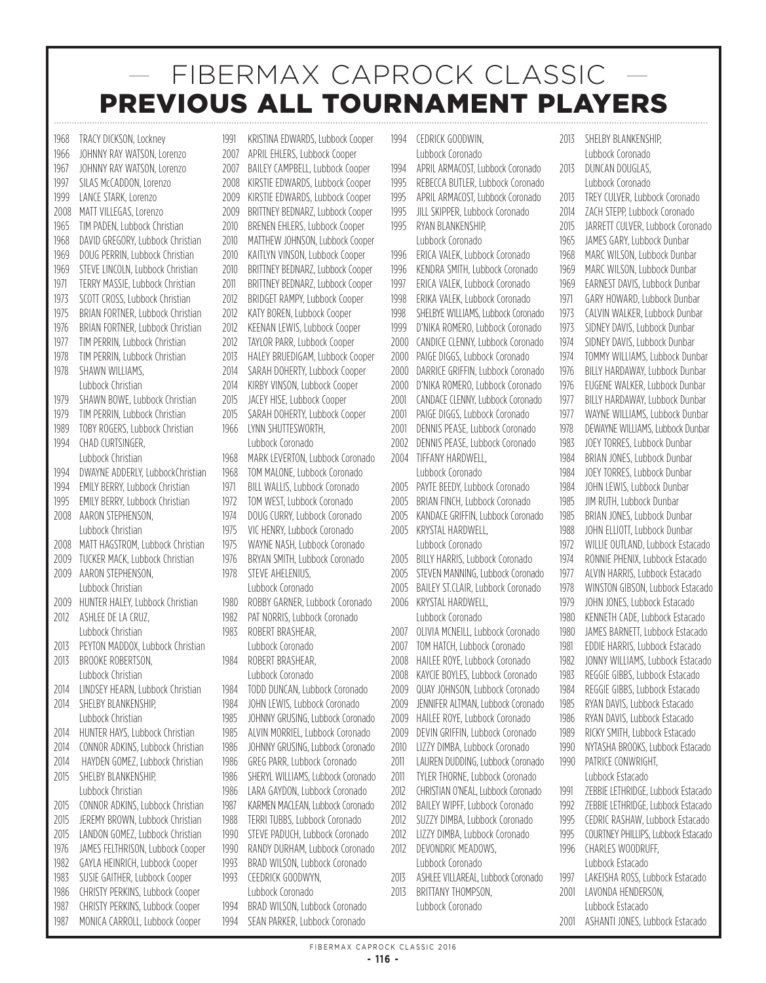1968 TRACY DICKSON, Lockney 1966 JOHNNY RAY WATSON, Lorenzo 1967 JOHNNY RAY WATSON, Lorenzo 1997 SILAS McCADDON, Lorenzo 1999 LANCE STARK, Lorenzo 2008 MATT VILLEGAS, Lorenzo 1965 TIM PADEN, Lubbock Christian 1968 DAVID GREGORY, Lubbock Christian 1969 DOUG PERRIN, Lubbock Christian 1969 STEVE LINCOLN, Lubbock Christian 1971 TERRY MASSIE, Lubbock Christian 1973 SCOTT CROSS, Lubbock Christian 1975 BRIAN FORTNER, Lubbock Christian 1976 BRIAN FORTNER, Lubbock Christian 1977 TIM PERRIN, Lubbock Christian 1978 TIM PERRIN, Lubbock Christian 1978 SHAWN WILLIAMS Lubbock Christian 1979 SHAWN BOWE, Lubbock Christian 1979 TIM PERRIN, Lubbock Christian 1989 TOBY ROGERS, Lubbock Christian 1994 CHAD CURTSINGER. Lubbock Christian 1994 DWAYNE ADDERLY, LubbockChristian<br>1994 FMII Y BERRY, Lubbock Christian **EMILY BERRY, Lubbock Christian** 1995 EMILY BERRY, Lubbock Christian 2008 AARON STEPHENSON, Lubbock Christian 2008 MATT HAGSTROM, Lubbock Christian 2009 TUCKER MACK, Lubbock Christian 2009 AARON STEPHENSON, Lubbock Christian 2009 HUNTER HALEY, Lubbock Christian 2012 ASHLEE DE LA CRUZ. Lubbock Christian 2013 PEYTON MADDOX, Lubbock Christian 2013 BROOKE ROBERTSON. Lubbock Christian 2014 **LINDSEY HEARN, Lubbock Christian** 2014 SHELBY BLANKENSHIP, Lubbock Christian 2014 HUNTER HAYS, Lubbock Christian 2014 CONNOR ADKINS, Lubbock Christian 2014 HAYDEN GOMEZ, Lubbock Christian 2015 SHELBY BLANKENSHIP. Lubbock Christian 2015 CONNOR ADKINS, Lubbock Christian 2015 JEREMY BROWN, Lubbock Christian 2015 LANDON GOMEZ, Lubbock Christian 1976 JAMES FELTHRISON, Lubbock Cooper 1982 GAYLA HEINRICH, Lubbock Cooper 1983 SUSIE GAITHER, Lubbock Cooper 1986 CHRISTY PERKINS, Lubbock Cooper 1987 CHRISTY PERKINS, Lubbock Cooper 1987 MONICA CARROLL, Lubbock Cooper

1991 KRISTINA EDWARDS, Lubbock Cooper 2007 APRIL EHLERS, Lubbock Cooper 2007 BAILEY CAMPBELL, Lubbock Cooper 2008 KIRSTIE EDWARDS, Lubbock Cooper 2009 KIRSTIF EDWARDS, Lubbock Cooper 2009 BRITTNEY BEDNARZ, Lubbock Cooper 2010 BRENEN EHLERS, Lubbock Cooper 2010 MATTHEW JOHNSON, Lubbock Cooper 2010 KAITLYN VINSON, Lubbock Cooper 2010 BRITTNEY BEDNARZ, Lubbock Cooper 2011 BRITTNEY BEDNARZ, Lubbock Cooper 2012 BRIDGET RAMPY, Lubbock Cooper 2012 KATY BOREN, Lubbock Cooper 2012 KEENAN LEWIS, Lubbock Cooper 2012 TAYLOR PARR, Lubbock Cooper 2013 HALEY BRUEDIGAM, Lubbock Cooper 2014 SARAH DOHERTY, Lubbock Cooper 2014 KIRBY VINSON, Lubbock Cooper 2015 JACEY HISE, Lubbock Cooper 2015 SARAH DOHERTY, Lubbock Cooper 1966 LYNN SHUTTESWORTH, Lubbock Coronado 1968 MARK LEVERTON, Lubbock Coronado 1968 TOM MALONE, Lubbock Coronado 1971 BILL WALLIS, Lubbock Coronado 1972 TOM WEST, Lubbock Coronado 1974 DOUG CURRY, Lubbock Coronado 1975 VIC HENRY, Lubbock Coronado 1975 WAYNE NASH, Lubbock Coronado 1976 BRYAN SMITH, Lubbock Coronado 1978 STEVE AHELENIUS, Lubbock Coronado 1980 ROBBY GARNER, Lubbock Coronado 1982 PAT NORRIS, Lubbock Coronado 1983 ROBERT BRASHEAR, Lubbock Coronado 1984 ROBERT BRASHEAR, Lubbock Coronado 1984 TODD DUNCAN, Lubbock Coronado 1984 JOHN LEWIS, Lubbock Coronado 1985 JOHNNY GRUSING, Lubbock Coronado 1985 ALVIN MORRIEL, Lubbock Coronado 1986 JOHNNY GRUSING, Lubbock Coronado 1986 GREG PARR, Lubbock Coronado 1986 SHERYL WILLIAMS, Lubbock Coronado 1986 LARA GAYDON, Lubbock Coronado 1987 KARMEN MACLEAN, Lubbock Coronado 1988 TERRI TUBBS, Lubbock Coronado 1990 STEVE PADUCH, Lubbock Coronado 1990 RANDY DURHAM, Lubbock Coronado 1993 BRAD WILSON, Lubbock Coronado 1993 CEEDRICK GOODWYN, Lubbock Coronado 1994 BRAD WILSON, Lubbock Coronado

1994 CEDRICK GOODWIN, Lubbock Coronado 1994 APRIL ARMACOST, Lubbock Coronado 1995 REBECCA BUTLER, Lubbock Coronado 1995 APRIL ARMACOST, Lubbock Coronado 1995 JILL SKIPPER, Lubbock Coronado 1995 RYAN BLANKENSHIP, Lubbock Coronado 1996 ERICA VALEK, Lubbock Coronado 1996 KENDRA SMITH, Lubbock Coronado 1997 ERICA VALEK, Lubbock Coronado 1998 ERIKA VALEK, Lubbock Coronado 1998 SHELBYE WILLIAMS, Lubbock Coronado 1999 D'NIKA ROMERO, Lubbock Coronado 2000 CANDICE CLENNY, Lubbock Coronado 2000 PAIGE DIGGS, Lubbock Coronado 2000 DARRICEGRIFFIN, Lubbock Coronado 2000 D'NIKA ROMERO, Lubbock Coronado 2001 CANDACE CLENNY, Lubbock Coronado 2001 PAIGE DIGGS, Lubbock Coronado 2001 DENNIS PEASE, Lubbock Coronado 2002 DENNIS PEASE, Lubbock Coronado 2004 TIFFANY HARDWELL, Lubbock Coronado 2005 PAYTE BEEDY, Lubbock Coronado 2005 BRIAN FINCH, Lubbock Coronado 2005 KANDACE GRIFFIN, Lubbock Coronado 2005 KRYSTAL HARDWELL, Lubbock Coronado 2005 BILLY HARRIS, Lubbock Coronado 2005 STEVEN MANNING, Lubbock Coronado 2005 BAILEY ST.CLAIR, Lubbock Coronado 2006 KRYSTAL HARDWELL, Lubbock Coronado 2007 OLIVIA MCNEILL, Lubbock Coronado 2007 TOM HATCH, Lubbock Coronado 2008 HAILEE ROYE, Lubbock Coronado 2008 KAYCIE BOYLES, Lubbock Coronado 2009 QUAY JOHNSON, Lubbock Coronado 2009 JENNIFER ALTMAN, Lubbock Coronado 2009 HAILEE ROYE, Lubbock Coronado 2009 DEVIN GRIFFIN, Lubbock Coronado 2010 LIZZY DIMBA, Lubbock Coronado 2011 **LAUREN DUDDING, Lubbock Coronado** 2011 TYLER THORNE, Lubbock Coronado 2012 CHRISTIAN O'NEAL, Lubbock Coronado 2012 BAILEY WIPFF, Lubbock Coronado 2012 SUZZY DIMBA, Lubbock Coronado 2012 LIZZY DIMBA, Lubbock Coronado 2012 DEVONDRIC MEADOWS, Lubbock Coronado 2013 ASHLEE VILLAREAL, Lubbock Coronado 2013 BRITTANY THOMPSON,

2013 SHELBY BLANKENSHIP, Lubbock Coronado 2013 DUNCAN DOUGLAS. Lubbock Coronado 2013 TREY CULVER, Lubbock Coronado 2014 ZACH STEPP, Lubbock Coronado 2015 JARRETT CULVER, Lubbock Coronado 1965 JAMES GARY, Lubbock Dunbar 1968 MARC WILSON, Lubbock Dunbar 1969 MARC WILSON, Lubbock Dunbar 1969 EARNEST DAVIS, Lubbock Dunbar 1971 GARY HOWARD, Lubbock Dunbar 1973 CALVIN WALKER, Lubbock Dunbar 1973 SIDNEY DAVIS, Lubbock Dunbar 1974 SIDNEY DAVIS, Lubbock Dunbar 1974 TOMMY WILLIAMS, Lubbock Dunbar 1976 BILLY HARDAWAY, Lubbock Dunbar 1976 EUGENE WALKER, Lubbock Dunbar 1977 BILLY HARDAWAY, Lubbock Dunbar 1977 WAYNE WILLIAMS, Lubbock Dunbar 1978 DEWAYNE WILLIAMS, Lubbock Dunbar 1983 JOEY TORRES, Lubbock Dunbar 1984 BRIAN JONES, Lubbock Dunbar 1984 JOEY TORRES, Lubbock Dunbar 1984 JOHN LEWIS, Lubbock Dunbar 1985 JIM RUTH, Lubbock Dunbar 1985 BRIAN JONES, Lubbock Dunbar 1988 JOHN ELLIOTT, Lubbock Dunbar 1972 WILLIE OUTLAND, Lubbock Estacado 1974 RONNIE PHENIX, Lubbock Estacado 1977 ALVIN HARRIS, Lubbock Estacado 1978 WINSTON GIBSON, Lubbock Estacado 1979 JOHN JONES, Lubbock Estacado 1980 KENNETH CADE, Lubbock Estacado 1980 JAMES BARNETT, Lubbock Estacado 1981 EDDIE HARRIS, Lubbock Estacado 1982 JONNY WILLIAMS, Lubbock Estacado 1983 REGGIE GIBBS, Lubbock Estacado 1984 REGGIE GIBBS, Lubbock Estacado 1985 RYAN DAVIS, Lubbock Estacado 1986 RYAN DAVIS, Lubbock Estacado 1989 RICKY SMITH, Lubbock Estacado 1990 NYTASHA BROOKS, Lubbock Estacado 1990 PATRICE CONWRIGHT. Lubbock Estacado 1991 ZEBBIE LETHRIDGE, Lubbock Estacado 1992 ZEBBIE LETHRIDGE, Lubbock Estacado 1995 CEDRIC RASHAW, Lubbock Estacado 1995 COURTNEY PHILLIPS, Lubbock Estacado 1996 CHARLES WOODRUFF. Lubbock Estacado 1997 LAKEISHA ROSS, Lubbock Estacado 2001 LAVONDA HENDERSON. Lubbock Estacado 2001 ASHANTI JONES, Lubbock Estacado

1994 SEAN PARKER, Lubbock Coronado

 Lubbock Coronado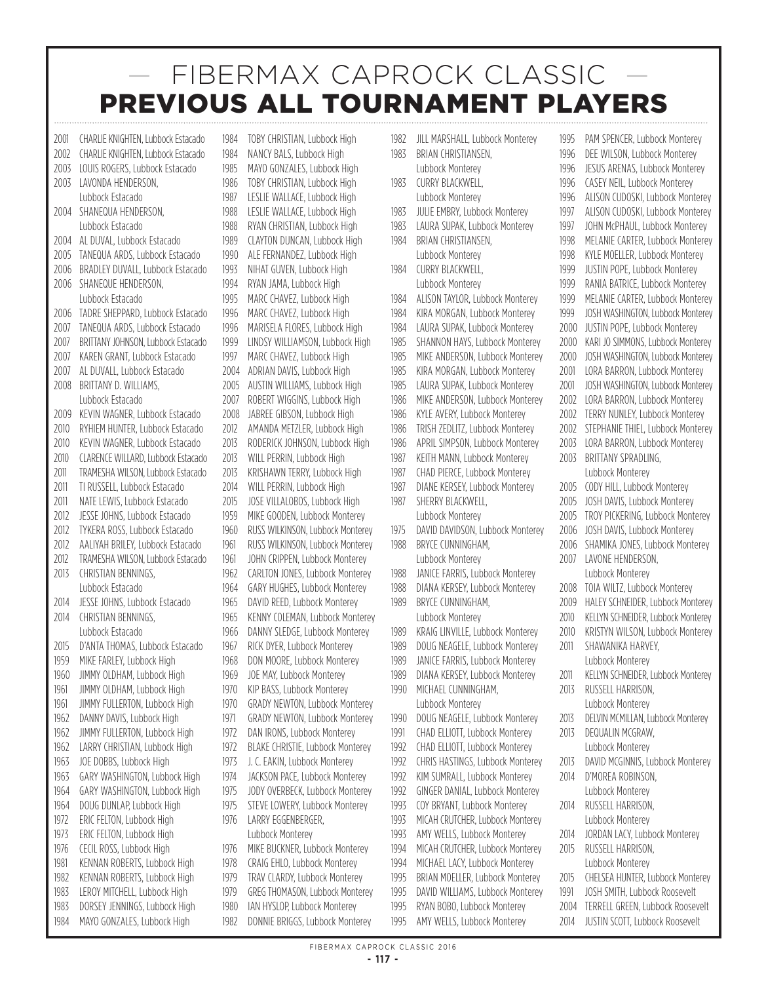2001 CHARLIE KNIGHTEN, Lubbock Estacado 2002 CHARLIE KNIGHTEN, Lubbock Estacado 2003 LOUIS ROGERS, Lubbock Estacado 2003 LAVONDA HENDERSON, Lubbock Estacado 2004 SHANEQUA HENDERSON, Lubbock Estacado 2004 AL DUVAL, Lubbock Estacado 2005 TANEQUA ARDS, Lubbock Estacado 2006 BRADLEY DUVALL, Lubbock Estacado 2006 SHANEQUE HENDERSON, Lubbock Estacado 2006 TADRE SHEPPARD, Lubbock Estacado 2007 TANEQUA ARDS, Lubbock Estacado 2007 BRITTANY JOHNSON, Lubbock Estacado 2007 KAREN GRANT, Lubbock Estacado 2007 AL DUVALL, Lubbock Estacado 2008 BRITTANY D. WILLIAMS, Lubbock Estacado 2009 KEVIN WAGNER, Lubbock Estacado 2010 RYHIEM HUNTER, Lubbock Estacado 2010 KEVIN WAGNER, Lubbock Estacado 2010 CLARENCE WILLARD, Lubbock Estacado 2011 TRAMESHA WILSON, Lubbock Estacado 2011 TLRUSSELL, Lubbock Estacado 2011 NATE LEWIS, Lubbock Estacado 2012 JESSE JOHNS, Lubbock Estacado 2012 TYKERA ROSS, Lubbock Estacado 2012 AALIYAH BRILEY, Lubbock Estacado 2012 TRAMESHA WILSON, Lubbock Estacado 2013 CHRISTIAN BENNINGS, Lubbock Estacado 2014 JESSE JOHNS, Lubbock Estacado 2014 CHRISTIAN BENNINGS Lubbock Estacado 2015 D'ANTA THOMAS, Lubbock Estacado 1959 MIKE FARLEY, Lubbock High 1960 JIMMY OLDHAM, Lubbock High 1961 JIMMY OLDHAM, Lubbock High 1961 **JIMMY FULLERTON, Lubbock High** 1962 DANNY DAVIS, Lubbock High 1962 JIMMY FULLERTON, Lubbock High 1962 LARRY CHRISTIAN, Lubbock High 1963 **JOE DOBBS, Lubbock High** 1963 GARY WASHINGTON, Lubbock High 1964 GARY WASHINGTON, Lubbock High 1964 DOUG DUNLAP, Lubbock High 1972 ERIC FELTON, Lubbock High 1973 ERIC FELTON, Lubbock High 1976 CECIL ROSS, Lubbock High 1981 KENNAN ROBERTS, Lubbock High 1982 KENNAN ROBERTS, Lubbock High 1983 LEROY MITCHELL, Lubbock High 1983 DORSEY JENNINGS, Lubbock High 1984 MAYO GONZALES, Lubbock High

1984 TOBY CHRISTIAN, Lubbock High 1984 NANCY BALS, Lubbock High 1985 MAYO GONZALES, Lubbock High 1986 TOBY CHRISTIAN, Lubbock High 1987 **LESLIE WALLACE, Lubbock High** 1988 LESLIE WALLACE, Lubbock High 1988 RYAN CHRISTIAN, Lubbock High 1989 CLAYTON DUNCAN, Lubbock High 1990 ALE FERNANDEZ, Lubbock High 1993 NIHAT GUVEN, Lubbock High 1994 RYAN JAMA, Lubbock High 1995 MARC CHAVEZ, Lubbock High 1996 MARC CHAVEZ, Lubbock High 1996 MARISELA FLORES, Lubbock High 1999 LINDSY WILLIAMSON, Lubbock High 1997 MARC CHAVEZ, Lubbock High 2004 ADRIAN DAVIS, Lubbock High 2005 AUSTIN WILLIAMS, Lubbock High 2007 ROBERT WIGGINS, Lubbock High 2008 JABREE GIBSON, Lubbock High 2012 AMANDA METZLER, Lubbock High 2013 RODERICK JOHNSON, Lubbock High 2013 WILL PERRIN, Lubbock High 2013 KRISHAWN TERRY, Lubbock High 2014 WILL PERRIN, Lubbock High 2015 JOSE VILLALOBOS, Lubbock High 1959 MIKE GOODEN, Lubbock Monterey 1960 RUSS WILKINSON, Lubbock Monterey 1961 RUSS WILKINSON, Lubbock Monterey 1961 JOHN CRIPPEN, Lubbock Monterey 1962 CARLTON JONES, Lubbock Monterey 1964 GARY HUGHES, Lubbock Monterey 1965 DAVID REED, Lubbock Monterey 1965 KENNY COLEMAN, Lubbock Monterey 1966 DANNY SLEDGE, Lubbock Monterey 1967 RICK DYFR, Lubbock Monterey 1968 DON MOORE, Lubbock Monterey 1969 JOE MAY, Lubbock Monterey 1970 KIP BASS, Lubbock Monterey 1970 GRADY NEWTON, Lubbock Monterey 1971 GRADY NEWTON, Lubbock Monterey 1972 DAN IRONS, Lubbock Monterey 1972 BLAKE CHRISTIE, Lubbock Monterey 1973 L. C. FAKIN, Lubbock Monterey 1974 JACKSON PACE, Lubbock Monterey 1975 JODY OVERBECK, Lubbock Monterey 1975 STEVE LOWERY, Lubbock Monterey 1976 LARRY EGGENBERGER, Lubbock Monterey 1976 MIKE BUCKNER, Lubbock Monterey 1978 CRAIG EHLO, Lubbock Monterey 1979 TRAV CLARDY, Lubbock Monterey 1979 GREG THOMASON, Lubbock Monterey 1980 IAN HYSLOP, Lubbock Monterey

1982 DONNIE BRIGGS, Lubbock Monterey

1982 JILL MARSHALL, Lubbock Monterey 1983 BRIAN CHRISTIANSEN. Lubbock Monterey 1983 CURRY BLACKWELL, Lubbock Monterey 1983 JULIE EMBRY, Lubbock Monterey 1983 LAURA SUPAK, Lubbock Monterey 1984 BRIAN CHRISTIANSEN, Lubbock Monterey 1984 CURRY BLACKWELL, Lubbock Monterey 1984 ALISON TAYLOR, Lubbock Monterey 1984 KIRA MORGAN, Lubbock Monterey 1984 LAURA SUPAK, Lubbock Monterey 1985 SHANNON HAYS, Lubbock Monterey 1985 MIKE ANDERSON, Lubbock Monterey 1985 KIRA MORGAN, Lubbock Monterey 1985 LAURA SUPAK, Lubbock Monterey 1986 MIKE ANDERSON, Lubbock Monterey 1986 KYLE AVERY, Lubbock Monterey 1986 TRISH ZEDLITZ, Lubbock Monterey 1986 APRIL SIMPSON, Lubbock Monterey 1987 KEITH MANN, Lubbock Monterey 1987 CHAD PIERCE, Lubbock Monterey 1987 DIANE KERSEY, Lubbock Monterey 1987 SHERRY BLACKWELL, Lubbock Monterey 1975 DAVID DAVIDSON, Lubbock Monterey 1988 BRYCE CUNNINGHAM. Lubbock Monterey 1988 JANICE FARRIS, Lubbock Monterey 1988 DIANA KERSEY, Lubbock Monterey 1989 BRYCE CUNNINGHAM. Lubbock Monterey 1989 KRAIG LINVILLE, Lubbock Monterey 1989 DOUG NEAGELE, Lubbock Monterey 1989 JANICE FARRIS, Lubbock Monterey 1989 DIANA KERSEY, Lubbock Monterey 1990 MICHAEL CUNNINGHAM. Lubbock Monterey 1990 DOUG NEAGELE, Lubbock Monterey 1991 CHAD ELLIOTT, Lubbock Monterey 1992 CHAD ELLIOTT, Lubbock Monterey 1992 CHRIS HASTINGS, Lubbock Monterey 1992 KIM SUMRALL, Lubbock Monterey 1992 GINGER DANIAL, Lubbock Monterey 1993 COY BRYANT, Lubbock Monterey 1993 MICAH CRUTCHER, Lubbock Monterey 1993 AMY WELLS, Lubbock Monterey 1994 MICAH CRUTCHER, Lubbock Monterey 1994 MICHAEL LACY, Lubbock Monterey 1995 BRIAN MOELLER, Lubbock Monterey 1995 DAVID WILLIAMS, Lubbock Monterey 1995 RYAN BOBO, Lubbock Monterey 1995 AMY WELLS, Lubbock Monterey

1995 PAM SPENCER, Lubbock Monterey 1996 DEE WILSON, Lubbock Monterey 1996 JESUS ARENAS, Lubbock Monterey 1996 CASEY NEIL, Lubbock Monterey 1996 ALISON CUDOSKI, Lubbock Monterey 1997 ALISON CUDOSKI, Lubbock Monterey 1997 JOHN McPHAUL, Lubbock Monterey 1998 MELANIE CARTER, Lubbock Monterey 1998 KYLE MOELLER, Lubbock Monterey 1999 **JUSTIN POPE, Lubbock Monterey** 1999 RANIA BATRICE, Lubbock Monterey 1999 MELANIE CARTER, Lubbock Monterey 1999 JOSH WASHINGTON, Lubbock Monterey 2000 JUSTIN POPE, Lubbock Monterey 2000 KARI JO SIMMONS, Lubbock Monterey 2000 JOSH WASHINGTON, Lubbock Monterey 2001 **LORA BARRON, Lubbock Monterey** 2001 JOSH WASHINGTON, Lubbock Monterey 2002 **LORA BARRON, Lubbock Monterey** 2002 TERRY NUNLEY, Lubbock Monterey 2002 STEPHANIE THIEL, Lubbock Monterey 2003 LORA BARRON, Lubbock Monterey 2003 BRITTANY SPRADLING. Lubbock Monterey 2005 CODY HILL, Lubbock Monterey 2005 JOSH DAVIS, Lubbock Monterey 2005 TROY PICKERING, Lubbock Monterey 2006 JOSH DAVIS, Lubbock Monterey 2006 SHAMIKA JONES, Lubbock Monterey 2007 LAVONE HENDERSON, Lubbock Monterey 2008 TOIA WILTZ, Lubbock Monterey 2009 HALEY SCHNEIDER, Lubbock Monterey 2010 KELLYN SCHNEIDER, Lubbock Monterey 2010 KRISTYN WILSON, Lubbock Monterey 2011 SHAWANIKA HARVEY, Lubbock Monterey 2011 KELLYN SCHNEIDER, Lubbock Monterey 2013 RUSSELL HARRISON, Lubbock Monterey 2013 DELVIN MCMILLAN, Lubbock Monterey 2013 DEQUALIN MCGRAW, Lubbock Monterey 2013 DAVID MCGINNIS, Lubbock Monterey 2014 D'MOREA ROBINSON, Lubbock Monterey 2014 RUSSELL HARRISON, Lubbock Monterey 2014 JORDAN LACY, Lubbock Monterey 2015 RUSSELL HARRISON, Lubbock Monterey 2015 CHELSEA HUNTER, Lubbock Monterey 1991 **JOSH SMITH, Lubbock Roosevelt** 2004 TERRELL GREEN, Lubbock Roosevelt 2014 **JUSTIN SCOTT, Lubbock Roosevelt**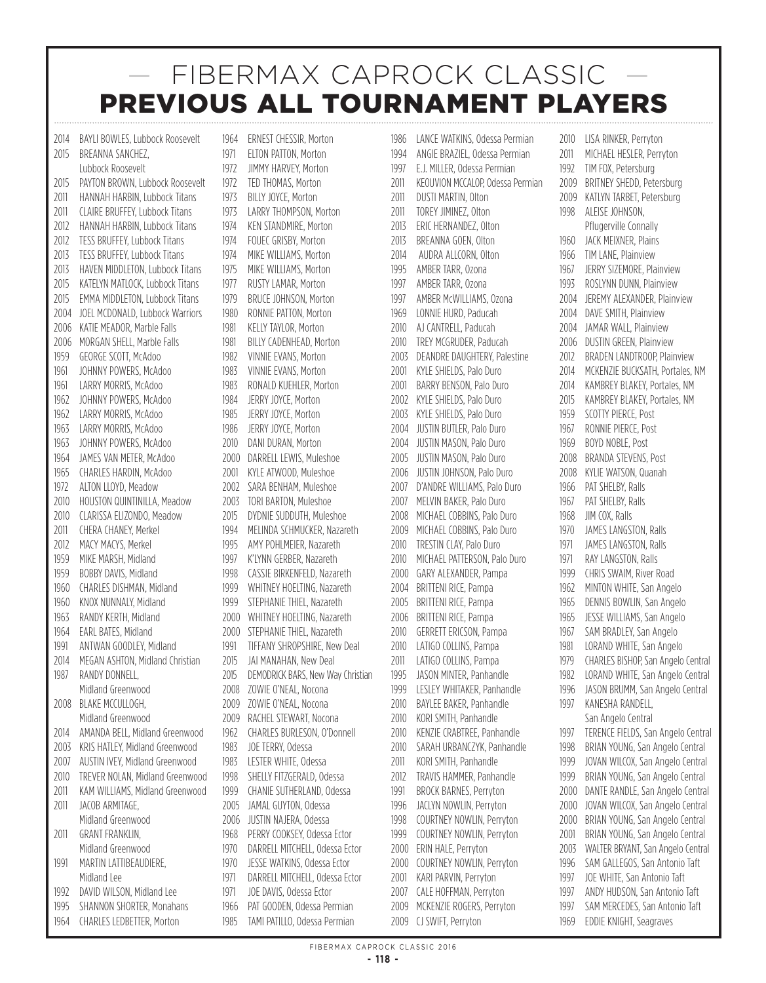2014 BAYLI BOWLES, Lubbock Roosevelt 2015 BREANNA SANCHEZ Lubbock Roosevelt 2015 PAYTON BROWN, Lubbock Roosevelt 2011 HANNAH HARBIN, Lubbock Titans 2011 CLAIRE BRUFFEY, Lubbock Titans 2012 HANNAH HARBIN, Lubbock Titans 2012 TESS BRUFFEY, Lubbock Titans 2013 **TESS BRUFFEY, Lubbock Titans** 2013 HAVEN MIDDLETON, Lubbock Titans 2015 KATELYN MATLOCK, Lubbock Titans 2015 EMMA MIDDLETON, Lubbock Titans 2004 JOEL MCDONALD, Lubbock Warriors 2006 KATIE MEADOR, Marble Falls 2006 MORGAN SHELL, Marble Falls 1959 GEORGE SCOTT, McAdoo 1961 **IOHNNY POWERS, McAdoo** 1961 LARRY MORRIS, McAdoo 1962 **JOHNNY POWERS, McAdoo** 1962 LARRY MORRIS, McAdoo 1963 LARRY MORRIS, McAdoo 1963 JOHNNY POWERS, McAdoo 1964 JAMES VAN METER, McAdoo 1965 CHARLES HARDIN, McAdoo 1972 ALTON LLOYD, Meadow 2010 HOUSTON QUINTINILLA, Meadow 2010 CLARISSA ELIZONDO, Meadow 2011 CHERA CHANEY, Merkel 2012 MACY MACYS, Merkel 1959 MIKE MARSH, Midland 1959 BOBBY DAVIS, Midland 1960 CHARLES DISHMAN, Midland 1960 KNOX NUNNALY, Midland 1963 RANDY KERTH, Midland 1964 EARL BATES, Midland 1991 ANTWAN GOODLEY, Midland 2014 MEGAN ASHTON, Midland Christian 1987 RANDY DONNELL. Midland Greenwood 2008 BLAKE MCCULLOGH, Midland Greenwood 2014 AMANDA BELL, Midland Greenwood 2003 KRIS HATLEY, Midland Greenwood 2007 AUSTIN IVEY, Midland Greenwood 2010 TREVER NOLAN, Midland Greenwood 2011 KAM WILLIAMS, Midland Greenwood 2011 JACOB ARMITAGE. Midland Greenwood 2011 GRANT FRANKLIN, Midland Greenwood 1991 MARTIN LATTIBEAUDIERE, Midland Lee 1992 DAVID WILSON, Midland Lee 1995 SHANNON SHORTER, Monahans 1964 CHARLES LEDBETTER, Morton

1964 ERNEST CHESSIR, Morton 1971 **ELTON PATTON, Morton** 1972 JIMMY HARVEY, Morton 1972 TFD THOMAS, Morton 1973 BILLY JOYCE, Morton 1973 LARRY THOMPSON, Morton 1974 KEN STANDMIRE, Morton 1974 FOUEC GRISBY, Morton 1974 MIKE WILLIAMS, Morton 1975 MIKE WILLIAMS, Morton 1977 RUSTY LAMAR, Morton 1979 BRUCE JOHNSON, Morton 1980 RONNIE PATTON, Morton 1981 KELLY TAYLOR, Morton 1981 BILLY CADENHEAD, Morton 1982 VINNIE EVANS, Morton 1983 VINNIF FVANS, Morton 1983 RONALD KUEHLER, Morton 1984 JERRY JOYCE, Morton 1985 JERRY JOYCE, Morton 1986 JERRY JOYCE, Morton 2010 DANI DURAN, Morton 2000 DARRELL LEWIS, Muleshoe 2001 KYLE ATWOOD, Muleshoe 2002 SARA BENHAM, Muleshoe 2003 TORI BARTON, Muleshoe 2015 DYDNIE SUDDUTH, Muleshoe 1994 MELINDA SCHMUCKER, Nazareth 1995 AMY POHLMEIER, Nazareth 1997 K'LYNN GERBER, Nazareth 1998 CASSIE BIRKENFELD, Nazareth 1999 WHITNEY HOELTING, Nazareth 1999 STEPHANIE THIEL, Nazareth 2000 WHITNEY HOELTING, Nazareth 2000 STEPHANIE THIEL, Nazareth 1991 TIFFANY SHROPSHIRE, New Deal 2015 JAI MANAHAN, New Deal 2015 DEMODRICK BARS, New Way Christian 2008 ZOWIE O'NEAL, Nocona 2009 ZOWIE O'NEAL, Nocona 2009 RACHEL STEWART, Nocona 1962 CHARLES BURLESON, O'Donnell 1983 JOE TERRY, Odessa 1983 LESTER WHITE, Odessa 1998 SHELLY FITZGERALD, Odessa 1999 CHANIE SUTHERLAND, Odessa 2005 JAMAL GUYTON, Odessa 2006 JUSTIN NAJERA, Odessa 1968 PERRY COOKSEY, Odessa Ector 1970 DARRELL MITCHELL, Odessa Ector 1970 JESSE WATKINS, Odessa Ector 1971 DARRELL MITCHELL, Odessa Ector 1971 **IOE DAVIS, Odessa Ector** 1966 PAT GOODEN, Odessa Permian

1985 TAMI PATILLO, Odessa Permian

1986 LANCE WATKINS, Odessa Permian 1994 ANGIE BRAZIEL, Odessa Permian 1997 E.J. MILLER, Odessa Permian 2011 KEOUVION MCCALOP, Odessa Permian 2011 DUSTI MARTIN, Olton 2011 TOREY JIMINEZ, Olton 2013 ERIC HERNANDEZ, Olton 2013 BREANNA GOEN, Olton 2014 AUDRA ALLCORN, Olton 1995 AMBER TARR, Ozona 1997 AMBER TARR, Ozona 1997 AMBER McWILLIAMS, Ozona 1969 LONNIE HURD, Paducah 2010 AJ CANTRELL, Paducah 2010 TREY MCGRUDER, Paducah 2003 DEANDRE DAUGHTERY, Palestine 2001 KYLE SHIELDS, Palo Duro 2001 BARRY BENSON, Palo Duro 2002 KYLE SHIELDS, Palo Duro 2003 KYLE SHIELDS, Palo Duro 2004 JUSTIN BUTLER, Palo Duro 2004 JUSTIN MASON, Palo Duro 2005 JUSTIN MASON, Palo Duro 2006 JUSTIN JOHNSON, Palo Duro 2007 D'ANDRE WILLIAMS, Palo Duro 2007 MELVIN BAKER, Palo Duro 2008 MICHAEL COBBINS, Palo Duro 2009 MICHAEL COBBINS, Palo Duro 2010 TRESTIN CLAY, Palo Duro 2010 MICHAEL PATTERSON, Palo Duro 2000 GARY ALEXANDER, Pampa 2004 BRITTENI RICE, Pampa 2005 BRITTENI RICE, Pampa 2006 BRITTENI RICE, Pampa 2010 GERRETT ERICSON, Pampa 2010 LATIGO COLLINS, Pampa 2011 LATIGO COLLINS, Pampa 1995 JASON MINTER, Panhandle 1999 LESLEY WHITAKER, Panhandle 2010 BAYLEE BAKER, Panhandle 2010 KORI SMITH, Panhandle 2010 KENZIE CRABTREE, Panhandle 2010 SARAH URBANCZYK, Panhandle 2011 KORI SMITH, Panhandle 2012 TRAVIS HAMMER, Panhandle 1991 BROCK BARNES, Perryton 1996 JACLYN NOWLIN, Perryton 1998 COURTNEY NOWLIN, Perryton 1999 COURTNEY NOWLIN, Perryton 2000 ERIN HALE, Perryton 2000 COURTNEY NOWLIN, Perryton 2001 KARI PARVIN, Perryton 2007 CALE HOFFMAN, Perryton 2009 MCKENZIE ROGERS, Perryton

2010 LISA RINKER, Perryton 2011 MICHAEL HESLER, Perryton 1992 TIM FOX, Petersburg 2009 BRITNEY SHEDD, Petersburg 2009 KATLYN TARBET, Petersburg 1998 ALEISE JOHNSON, Pflugerville Connally 1960 JACK MEIXNER, Plains 1966 TIM LANE, Plainview 1967 JERRY SIZEMORE, Plainview 1993 ROSLYNN DUNN, Plainview 2004 JEREMY ALEXANDER, Plainview 2004 DAVE SMITH, Plainview 2004 **JAMAR WALL, Plainview** 2006 DUSTIN GREEN, Plainview 2012 BRADEN LANDTROOP, Plainview 2014 MCKENZIE BUCKSATH, Portales, NM 2014 KAMBREY BLAKEY, Portales, NM 2015 KAMBREY BLAKEY, Portales, NM 1959 SCOTTY PIERCE, Post 1967 RONNIE PIERCE, Post 1969 BOYD NOBLE, Post 2008 BRANDA STEVENS, Post 2008 KYLIE WATSON, Quanah 1966 PAT SHELBY, Ralls 1967 PAT SHELBY, Ralls 1968 JIM COX, Ralls 1970 JAMES LANGSTON, Ralls 1971 **JAMES LANGSTON, Ralls** 1971 RAY LANGSTON, Ralls 1999 CHRIS SWAIM, River Road 1962 MINTON WHITE, San Angelo 1965 DENNIS BOWLIN, San Angelo 1965 JESSE WILLIAMS, San Angelo 1967 SAM BRADLEY, San Angelo 1981 LORAND WHITE, San Angelo 1979 CHARLES BISHOP, San Angelo Central 1982 LORAND WHITE, San Angelo Central 1996 JASON BRUMM, San Angelo Central 1997 KANESHA RANDELL, San Angelo Central 1997 TERENCE FIELDS, San Angelo Central 1998 BRIAN YOUNG, San Angelo Central 1999 JOVAN WILCOX, San Angelo Central 1999 BRIAN YOUNG, San Angelo Central 2000 DANTE RANDLE, San Angelo Central 2000 JOVAN WILCOX, San Angelo Central 2000 BRIAN YOUNG, San Angelo Central 2001 BRIAN YOUNG, San Angelo Central 2003 WALTER BRYANT, San Angelo Central 1996 SAM GALLEGOS, San Antonio Taft 1997 JOE WHITE, San Antonio Taft 1997 ANDY HUDSON, San Antonio Taft 1997 SAM MERCEDES, San Antonio Taft 1969 EDDIE KNIGHT, Seagraves

2009 CJ SWIFT, Perryton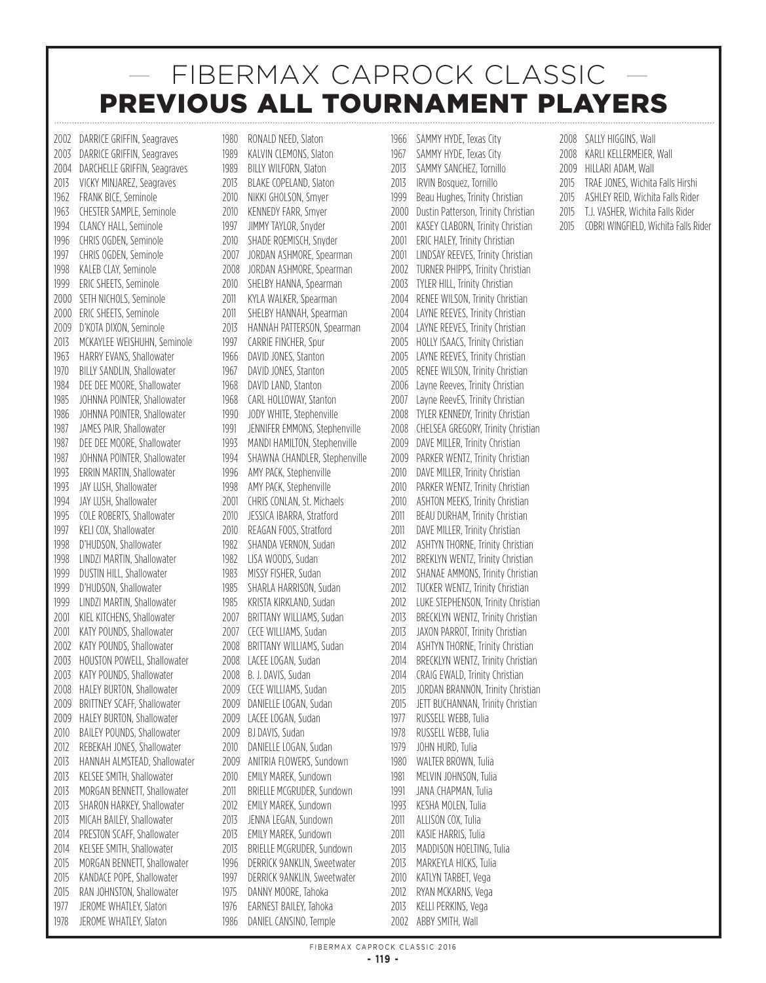2002 DARRICE GRIFFIN, Seagraves 2003 DARRICE GRIFFIN, Seagraves 2004 DARCHELLE GRIFFIN, Seagraves 2013 VICKY MINJAREZ, Seagraves 1962 FRANK BICE, Seminole 1963 CHESTER SAMPLE, Seminole 1994 CLANCY HALL, Seminole 1996 CHRIS OGDEN, Seminole 1997 CHRIS OGDEN, Seminole 1998 KALEB CLAY, Seminole 1999 ERIC SHEETS, Seminole 2000 SETH NICHOLS, Seminole 2000 ERIC SHEETS, Seminole 2009 D'KOTA DIXON, Seminole 2013 MCKAYLEE WEISHUHN, Seminole 1963 HARRY EVANS, Shallowater 1970 BILLY SANDLIN, Shallowater 1984 DEE DEE MOORE, Shallowater 1985 JOHNNA POINTER, Shallowater 1986 JOHNNA POINTER, Shallowater 1987 JAMES PAIR, Shallowater 1987 DEE DEE MOORE, Shallowater 1987 JOHNNA POINTER, Shallowater 1993 ERRIN MARTIN, Shallowater 1993 JAY LUSH, Shallowater 1994 JAY LUSH, Shallowater 1995 COLE ROBERTS, Shallowater 1997 KELI COX, Shallowater 1998 D'HUDSON, Shallowater 1998 LINDZI MARTIN, Shallowater 1999 DUSTIN HILL, Shallowater 1999 D'HUDSON, Shallowater 1999 LINDZI MARTIN, Shallowater 2001 KIEL KITCHENS, Shallowater 2001 KATY POUNDS, Shallowater 2002 KATY POUNDS, Shallowater 2003 HOUSTON POWELL, Shallowater 2003 KATY POUNDS, Shallowater 2008 HALEY BURTON, Shallowater 2009 BRITTNEY SCAFF, Shallowater 2009 HALEY BURTON, Shallowater 2010 BAILEY POUNDS, Shallowater 2012 REBEKAH JONES, Shallowater 2013 HANNAH ALMSTEAD, Shallowater 2013 KELSEE SMITH, Shallowater 2013 MORGAN BENNETT, Shallowater 2013 SHARON HARKEY, Shallowater 2013 MICAH BAILEY, Shallowater 2014 PRESTON SCAFF, Shallowater 2014 KELSEE SMITH, Shallowater 2015 MORGAN BENNETT, Shallowater 2015 KANDACE POPE, Shallowater 2015 RAN JOHNSTON, Shallowater 1977 JEROME WHATLEY, Slaton 1978 **JEROME WHATLEY, Slaton** 

1980 RONALD NEED, Slaton 1989 KALVIN CLEMONS, Slaton 1989 BILLY WILFORN, Slaton 2013 BLAKE COPELAND, Slaton 2010 NIKKI GHOLSON, Smyer 2010 KENNEDY FARR, Smyer 1997 JIMMY TAYLOR, Snyder 2010 SHADE ROEMISCH, Snyder 2007 JORDAN ASHMORE, Spearman 2008 JORDAN ASHMORE, Spearman 2010 SHELBY HANNA, Spearman 2011 KYLA WALKER, Spearman 2011 SHELBY HANNAH, Spearman 2013 HANNAH PATTERSON, Spearman 1997 CARRIF FINCHER, Spur 1966 DAVID JONES, Stanton 1967 DAVID JONES, Stanton 1968 DAVID LAND, Stanton 1968 CARL HOLLOWAY, Stanton 1990 JODY WHITE, Stephenville 1991 JENNIFER EMMONS, Stephenville 1993 MANDI HAMILTON, Stephenville 1994 SHAWNA CHANDLER, Stephenville 1996 AMY PACK, Stephenville 1998 AMY PACK, Stephenville 2001 CHRIS CONLAN, St. Michaels 2010 JESSICA IBARRA, Stratford 2010 REAGAN FOOS, Stratford 1982 SHANDA VERNON, Sudan 1982 LISA WOODS, Sudan 1983 MISSY FISHER, Sudan 1985 SHARLA HARRISON, Sudan 1985 KRISTA KIRKLAND, Sudan 2007 BRITTANY WILLIAMS, Sudan 2007 CECE WILLIAMS, Sudan 2008 BRITTANY WILLIAMS, Sudan 2008 LACEE LOGAN, Sudan 2008 B. J. DAVIS, Sudan 2009 CECE WILLIAMS, Sudan 2009 DANIFLLE LOGAN, Sudan 2009 LACEE LOGAN, Sudan 2009 BJ DAVIS, Sudan 2010 DANIELLE LOGAN, Sudan 2009 ANITRIA FLOWERS, Sundown 2010 FMILY MARFK, Sundown 2011 BRIELLE MCGRUDER, Sundown 2012 EMILY MAREK, Sundown 2013 JENNA LEGAN, Sundown 2013 EMILY MAREK, Sundown 2013 BRIELLE MCGRUDER, Sundown 1996 DERRICK 9ANKLIN, Sweetwater 1997 DERRICK 9ANKLIN, Sweetwater 1975 DANNY MOORE, Tahoka 1976 **EARNEST BAILEY, Tahoka** 

1986 DANIEL CANSINO, Temple

1966 SAMMY HYDE, Texas City 1967 SAMMY HYDE, Texas City 2013 SAMMY SANCHEZ, Tornillo 2013 IRVIN Bosquez, Tornillo 1999 Beau Hughes, Trinity Christian 2000 Dustin Patterson, Trinity Christian 2001 KASEY CLABORN, Trinity Christian 2001 ERIC HALEY, Trinity Christian 2001 LINDSAY REEVES, Trinity Christian 2002 TURNER PHIPPS, Trinity Christian 2003 TYLER HILL, Trinity Christian 2004 RENEE WILSON, Trinity Christian 2004 LAYNE REEVES, Trinity Christian 2004 LAYNE REEVES, Trinity Christian 2005 HOLLY ISAACS, Trinity Christian 2005 LAYNE REEVES, Trinity Christian 2005 RENEE WILSON, Trinity Christian 2006 Layne Reeves, Trinity Christian 2007 Layne ReevES, Trinity Christian 2008 TYLER KENNEDY, Trinity Christian 2008 CHELSEA GREGORY, Trinity Christian 2009 DAVE MILLER, Trinity Christian 2009 PARKER WENTZ, Trinity Christian 2010 DAVE MILLER, Trinity Christian 2010 PARKER WENTZ, Trinity Christian 2010 ASHTON MEEKS, Trinity Christian 2011 BEAU DURHAM, Trinity Christian 2011 DAVE MILLER, Trinity Christian 2012 ASHTYN THORNE, Trinity Christian 2012 BREKLYN WENTZ, Trinity Christian 2012 SHANAE AMMONS, Trinity Christian 2012 TUCKER WENTZ, Trinity Christian 2012 LUKE STEPHENSON, Trinity Christian 2013 BRECKLYN WENTZ, Trinity Christian 2013 JAXON PARROT, Trinity Christian 2014 ASHTYN THORNE, Trinity Christian 2014 BRECKLYN WENTZ, Trinity Christian 2014 CRAIG EWALD, Trinity Christian 2015 JORDAN BRANNON, Trinity Christian 2015 JETT BUCHANNAN, Trinity Christian 1977 RUSSELL WEBB, Tulia 1978 RUSSELL WEBB, Tulia 1979 JOHN HURD, Tulia 1980 WALTER BROWN, Tulia 1981 MELVIN JOHNSON, Tulia 1991 JANA CHAPMAN, Tulia 1993 KESHA MOLEN, Tulia 2011 ALLISON COX, Tulia 2011 KASIF HARRIS, Tulia 2013 MADDISON HOELTING, Tulia 2013 MARKEYLA HICKS, Tulia 2010 KATLYN TARBET, Vega 2012 RYAN MCKARNS, Vega 2013 KELLI PERKINS, Vega

- 2008 SALLY HIGGINS, Wall 2008 KARLI KELLERMEIER, Wall 2009 HILLARI ADAM, Wall
- 
- 2015 TRAE JONES, Wichita Falls Hirshi
- 2015 ASHLEY REID, Wichita Falls Rider
- 2015 T.J. VASHER, Wichita Falls Rider
- 2015 COBRI WINGFIELD, Wichita Falls Rider

2002 ABBY SMITH, Wall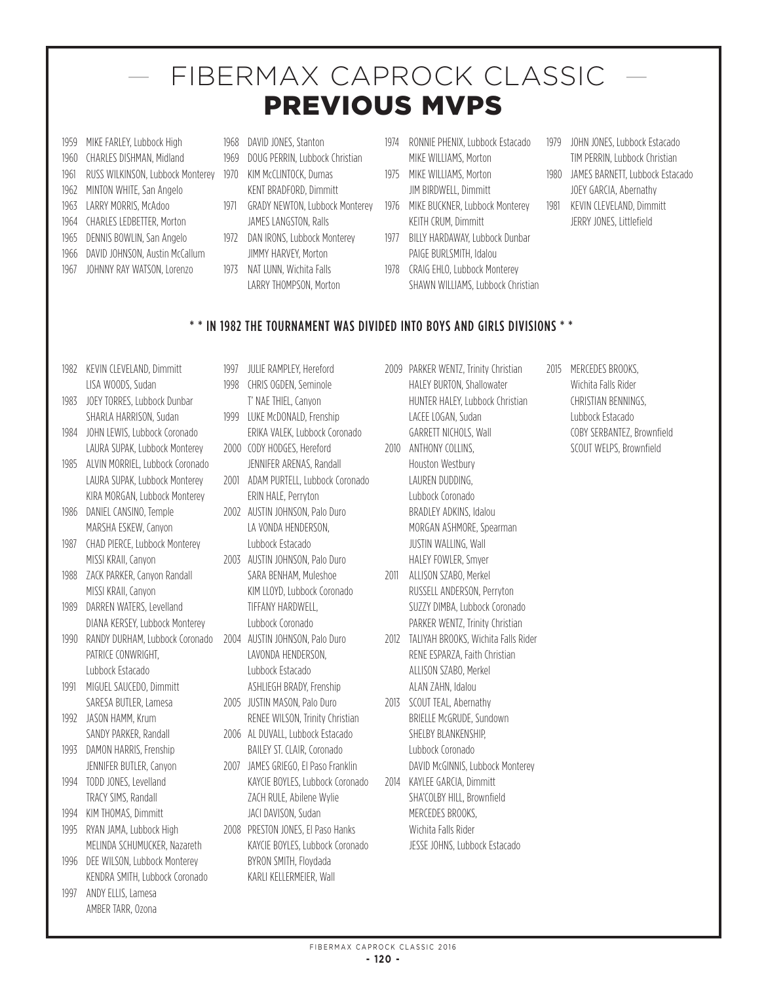# — FIBERMAX CAPROCK CLASSIC — PREVIOUS MVPS

- 1959 MIKE FARLEY, Lubbock High
- 1960 CHARLES DISHMAN, Midland
- 1961 RUSS WILKINSON, Lubbock Monterey
- 1962 MINTON WHITE, San Angelo
- 1963 LARRY MORRIS, McAdoo
- 1964 CHARLES LEDBETTER, Morton
- 1965 DENNIS BOWLIN, San Angelo
- 1966 DAVID JOHNSON, Austin McCallum 1967 JOHNNY RAY WATSON, Lorenzo
- 1968 DAVID JONES, Stanton
- 1969 DOUG PERRIN, Lubbock Christian 1970 KIM McCLINTOCK, Dumas
	- KENT BRADFORD, Dimmitt
- 1971 GRADY NEWTON, Lubbock Monterey JAMES LANGSTON, Ralls
- 1972 DAN IRONS, Lubbock Monterey JIMMY HARVEY, Morton
- 1973 NAT LUNN, Wichita Falls LARRY THOMPSON, Morton
- 1974 RONNIE PHENIX, Lubbock Estacado MIKE WILLIAMS, Morton
- 1975 MIKE WILLIAMS, Morton JIM BIRDWELL, Dimmitt
- 1976 MIKE BUCKNER, Lubbock Monterey KEITH CRUM, Dimmitt
- 1977 BILLY HARDAWAY, Lubbock Dunbar PAIGE BURLSMITH, Idalou
- 1978 CRAIG EHLO, Lubbock Monterey SHAWN WILLIAMS, Lubbock Christian
- 1979 JOHN JONES, Lubbock Estacado TIM PERRIN, Lubbock Christian
- 1980 JAMES BARNETT, Lubbock Estacado JOEY GARCIA, Abernathy
- 1981 KEVIN CLEVELAND, Dimmitt JERRY JONES, Littlefield

# \* \* IN 1982 THE TOURNAMENT WAS DIVIDED INTO BOYS AND GIRLS DIVISIONS \* \*

- 1982 KEVIN CLEVELAND, Dimmitt LISA WOODS, Sudan
- 1983 **JOEY TORRES, Lubbock Dunbar** SHARLA HARRISON, Sudan
- 1984 JOHN LEWIS, Lubbock Coronado LAURA SUPAK, Lubbock Monterey
- 1985 ALVIN MORRIEL, Lubbock Coronado LAURA SUPAK, Lubbock Monterey KIRA MORGAN, Lubbock Monterey
- 1986 DANIEL CANSINO, Temple MARSHA ESKEW, Canyon
- 1987 CHAD PIERCE, Lubbock Monterey MISSI KRAII, Canyon
- 1988 ZACK PARKER, Canyon Randall MISSI KRAII, Canyon
- 1989 DARREN WATERS, Levelland DIANA KERSEY, Lubbock Monterey
- 1990 RANDY DURHAM, Lubbock Coronado 2004 AUSTIN JOHNSON, Palo Duro PATRICE CONWRIGHT, Lubbock Estacado
- 1991 MIGUEL SAUCEDO, Dimmitt SARESA BUTLER, Lamesa
- 1992 JASON HAMM, Krum SANDY PARKER, Randall
- 1993 DAMON HARRIS, Frenship JENNIFER BUTLER, Canyon
- 1994 TODD JONES, Levelland TRACY SIMS, Randall
- 1994 KIM THOMAS, Dimmitt 1995 RYAN JAMA, Lubbock High
- MELINDA SCHUMUCKER, Nazareth
- 1996 DEE WILSON, Lubbock Monterey KENDRA SMITH, Lubbock Coronado
- 1997 ANDY ELLIS, Lamesa AMBER TARR, Ozona
- 1997 JULIE RAMPLEY, Hereford 1998 CHRIS OGDEN, Seminole
- T' NAE THIEL, Canyon 1999 LUKE McDONALD, Frenship ERIKA VALEK, Lubbock Coronado
- 2000 CODY HODGES, Hereford JENNIFER ARENAS, Randall
- 2001 ADAM PURTELL, Lubbock Coronado ERIN HALE, Perryton
- 2002 AUSTIN JOHNSON, Palo Duro LA VONDA HENDERSON, Lubbock Estacado
- 2003 AUSTIN JOHNSON, Palo Duro SARA BENHAM, Muleshoe KIM LLOYD, Lubbock Coronado TIFFANY HARDWELL, Lubbock Coronado
- LAVONDA HENDERSON, Lubbock Estacado ASHLIEGH BRADY, Frenship
- 2005 JUSTIN MASON, Palo Duro RENEE WILSON, Trinity Christian 2006 AL DUVALL, Lubbock Estacado
- BAILEY ST. CLAIR, Coronado 2007 JAMES GRIEGO, El Paso Franklin
- KAYCIE BOYLES, Lubbock Coronado ZACH RULE, Abilene Wylie JACI DAVISON, Sudan
- 2008 PRESTON JONES, El Paso Hanks KAYCIE BOYLES, Lubbock Coronado BYRON SMITH, Floydada KARLI KELLERMEIER, Wall
- 2009 PARKER WENTZ, Trinity Christian HALEY BURTON, Shallowater HUNTER HALEY, Lubbock Christian LACEE LOGAN, Sudan GARRETT NICHOLS, Wall
- 2010 ANTHONY COLLINS. Houston Westbury LAUREN DUDDING, Lubbock Coronado BRADLEY ADKINS, Idalou MORGAN ASHMORE, Spearman JUSTIN WALLING, Wall HALEY FOWLER, Smyer
- 2011 ALLISON SZABO, Merkel RUSSELL ANDERSON, Perryton SUZZY DIMBA, Lubbock Coronado PARKER WENTZ, Trinity Christian
- 2012 TALIYAH BROOKS, Wichita Falls Rider RENE ESPARZA, Faith Christian ALLISON SZABO, Merkel ALAN ZAHN, Idalou
- 2013 SCOUT TEAL, Abernathy BRIELLE McGRUDE, Sundown SHELBY BLANKENSHIP, Lubbock Coronado DAVID McGINNIS, Lubbock Monterey
- 2014 KAYLEE GARCIA, Dimmitt SHA'COLBY HILL, Brownfield MERCEDES BROOKS, Wichita Falls Rider JESSE JOHNS, Lubbock Estacado

2015 MERCEDES BROOKS. Wichita Falls Rider CHRISTIAN BENNINGS, Lubbock Estacado COBY SERBANTEZ, Brownfield SCOUT WELPS, Brownfield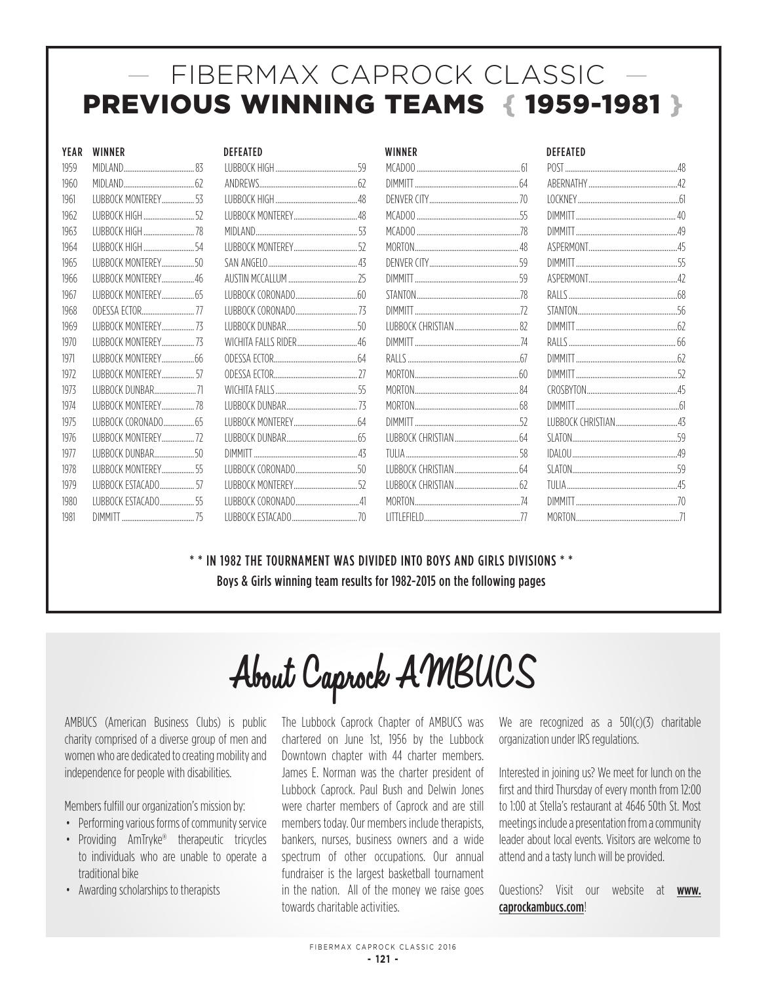# — FIBERMAX CAPROCK CLASSIC — PREVIOUS WINNING TEAMS { 1959-1981 }

# 1981 DIMMITT........................................75 LUBBOCKESTACADO....................................70 LITTLEFIELD.....................................................77 MORTON.........................................................71

| DEFEATED                                             |  |
|------------------------------------------------------|--|
|                                                      |  |
|                                                      |  |
|                                                      |  |
|                                                      |  |
|                                                      |  |
|                                                      |  |
|                                                      |  |
|                                                      |  |
|                                                      |  |
|                                                      |  |
|                                                      |  |
|                                                      |  |
|                                                      |  |
|                                                      |  |
|                                                      |  |
|                                                      |  |
|                                                      |  |
|                                                      |  |
|                                                      |  |
|                                                      |  |
|                                                      |  |
|                                                      |  |
| $I I I R R \cap C K F S T \Delta C \Delta D \cap 7C$ |  |

| YEAR | <b>WINNER</b>               | <b>DEFFATED</b>                | WINNER                    |      | <b>DEFEATED</b> |  |
|------|-----------------------------|--------------------------------|---------------------------|------|-----------------|--|
| 1959 | 83<br>MIDI AND.             | 59<br><b>I UBBOCK HIGH</b>     | MCADOO                    |      | <b>POST</b>     |  |
| 1960 |                             | ANDREWS                        |                           |      | ABERNATHY 47    |  |
| 1961 | LUBBOCK MONTEREY 53         |                                |                           |      |                 |  |
| 1962 | <b>I UBBOCK HIGH</b>        |                                |                           | 55   | <b>DIMMITT</b>  |  |
| 1963 | LUBBOCK HIGH 78             |                                |                           |      |                 |  |
| 1964 | LUBBOCK HIGH                |                                |                           |      |                 |  |
| 1965 | <b>I UBBOCK MONTEREY50</b>  |                                |                           | 59   | <b>DIMMITT</b>  |  |
| 1966 | LUBBOCK MONTEREY46          |                                |                           | 59   |                 |  |
| 1967 | LUBBOCK MONTEREY 65         | <b>ILIBROCK CORONADO</b><br>60 | STANTON                   | - 78 | RAIIS.          |  |
| 1968 | ODESSA ECTOR 77             |                                |                           | - 72 |                 |  |
| 1969 | <b>I UBBOCK MONTEREY 73</b> | 50                             |                           | 82   |                 |  |
| 1970 | <b>I UBBOCK MONTERFY 73</b> |                                |                           |      |                 |  |
| 1971 |                             |                                |                           |      |                 |  |
| 1972 | <b>ILIBROCK MONTEREY</b> 57 |                                | MORTON                    | 60   |                 |  |
| 1973 |                             |                                |                           | -R4  |                 |  |
| 1974 | LUBBOCK MONTEREY 78         |                                |                           |      | <b>DIMMITT</b>  |  |
| 1975 | <b>ILIBROCK CORONADO</b> 65 |                                |                           | 52   |                 |  |
| 1976 | <b>ILIBROCK MONTEREY</b> 72 |                                |                           | 64   | SLATON.         |  |
| 1977 | <b>ILIBROCK DUNBAR</b> 50   | 43<br><b>DIMMITT</b>           | TIJIJA                    | 58   | $\Gamma$        |  |
| 1978 | <b>I UBBOCK MONTERFY 55</b> |                                |                           | .64  |                 |  |
| 1979 | <b>I UBBOCK ESTACADO</b>    | <b>ILIBROCK MONTEREY</b> 57    | <b>ILIBBOCK CHRISTIAN</b> | 62   |                 |  |
| 1980 | LUBBOCK ESTACADO<br>55      |                                | <b>MORTON</b>             | -74  | <b>DIMMITT</b>  |  |

\* \* IN 1982 THE TOURNAMENT WAS DIVIDED INTO BOYS AND GIRLS DIVISIONS \* \* Boys & Girls winning team results for 1982-2015 on the following pages

# About Caprock AMBUCS

AMBUCS (American Business Clubs) is public charity comprised of a diverse group of men and women who are dedicated to creating mobility and independence for people with disabilities.

Members fulfill our organization's mission by:

- Performing various forms of community service
- Providing AmTryke® therapeutic tricycles to individuals who are unable to operate a traditional bike
- Awarding scholarships to therapists

The Lubbock Caprock Chapter of AMBUCS was chartered on June 1st, 1956 by the Lubbock Downtown chapter with 44 charter members. James E. Norman was the charter president of Lubbock Caprock. Paul Bush and Delwin Jones were charter members of Caprock and are still members today. Our members include therapists, bankers, nurses, business owners and a wide spectrum of other occupations. Our annual fundraiser is the largest basketball tournament in the nation. All of the money we raise goes towards charitable activities.

We are recognized as a 501(c)(3) charitable organization under IRS regulations.

Interested in joining us? We meet for lunch on the first and third Thursday of every month from 12:00 to 1:00 at Stella's restaurant at 4646 50th St. Most meetings include a presentation from a community leader about local events. Visitors are welcome to attend and a tasty lunch will be provided.

Questions? Visit our website at www. caprockambucs.com!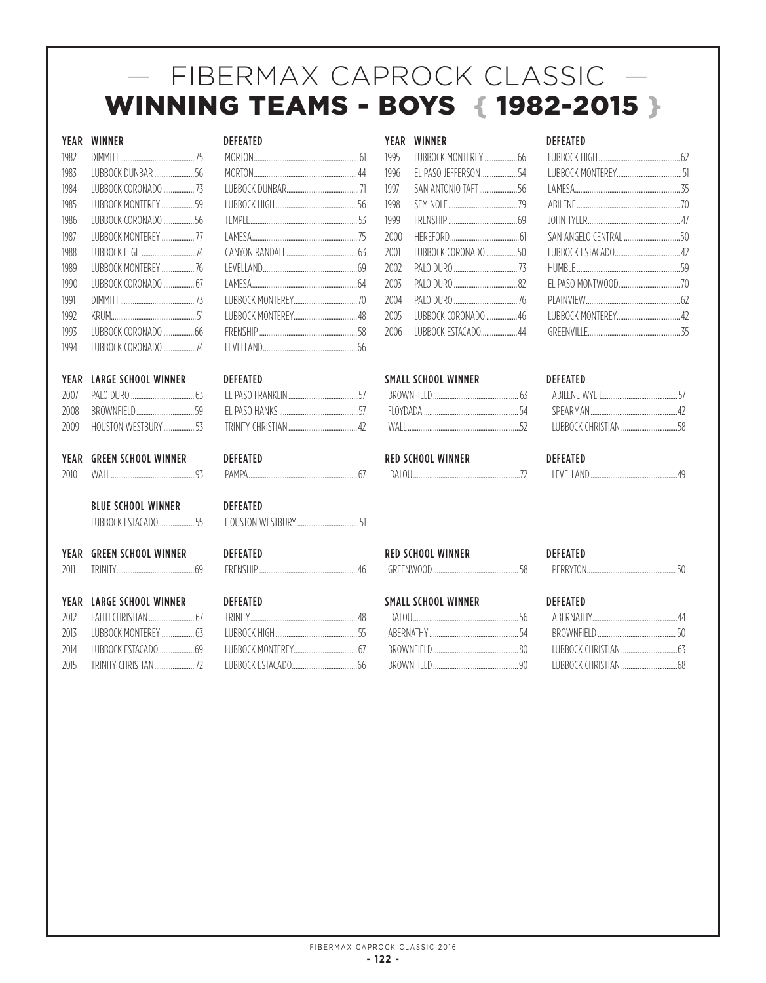# — FIBERMAX CAPROCK CLASSIC — WINNING TEAMS - BOYS { 1982-2015 }

|      | YEAR WINNER                 | <b>DEFEATED</b>                                                                                                                                                                                                                                                     |      | YEAR WINNER                                                                                                       | <b>DEFEATED</b> |                 |
|------|-----------------------------|---------------------------------------------------------------------------------------------------------------------------------------------------------------------------------------------------------------------------------------------------------------------|------|-------------------------------------------------------------------------------------------------------------------|-----------------|-----------------|
| 1982 |                             |                                                                                                                                                                                                                                                                     | 1995 |                                                                                                                   |                 |                 |
| 1983 | LUBBOCK DUNBAR 56           |                                                                                                                                                                                                                                                                     | 1996 |                                                                                                                   |                 |                 |
| 1984 | LUBBOCK CORONADO  73        |                                                                                                                                                                                                                                                                     | 1997 | SAN ANTONIO TAFT56                                                                                                |                 |                 |
| 1985 | LUBBOCK MONTEREY  59        |                                                                                                                                                                                                                                                                     | 1998 |                                                                                                                   |                 |                 |
| 1986 | LUBBOCK CORONADO 56         |                                                                                                                                                                                                                                                                     | 1999 |                                                                                                                   |                 |                 |
| 1987 | <b>I UBBOCK MONTEREY</b> 77 |                                                                                                                                                                                                                                                                     | 2000 |                                                                                                                   |                 |                 |
| 1988 | LUBBOCK HIGH74              |                                                                                                                                                                                                                                                                     | 2001 | LUBBOCK CORONADO 50                                                                                               |                 |                 |
| 1989 | LUBBOCK MONTEREY  76        |                                                                                                                                                                                                                                                                     | 2002 |                                                                                                                   |                 |                 |
| 1990 | LUBBOCK CORONADO  67        |                                                                                                                                                                                                                                                                     | 2003 |                                                                                                                   |                 |                 |
| 1991 |                             |                                                                                                                                                                                                                                                                     | 2004 |                                                                                                                   |                 |                 |
| 1992 |                             |                                                                                                                                                                                                                                                                     | 2005 | LUBBOCK CORONADO 46                                                                                               |                 |                 |
| 1993 |                             |                                                                                                                                                                                                                                                                     | 2006 | IUBBOCK ESTACADO44                                                                                                |                 |                 |
| 1994 | <b>IUBBOCK CORONADO</b> 74  |                                                                                                                                                                                                                                                                     |      |                                                                                                                   |                 |                 |
| YEAR | <b>LARGE SCHOOL WINNER</b>  | <b>DEFEATED</b>                                                                                                                                                                                                                                                     |      | <b>SMALL SCHOOL WINNER</b>                                                                                        | <b>DEFEATED</b> |                 |
| 2007 |                             |                                                                                                                                                                                                                                                                     |      |                                                                                                                   |                 |                 |
| 2008 |                             |                                                                                                                                                                                                                                                                     |      |                                                                                                                   |                 |                 |
| 2009 | HOUSTON WESTBURY 53         |                                                                                                                                                                                                                                                                     |      |                                                                                                                   |                 |                 |
|      | YEAR GREEN SCHOOL WINNER    | <b>DEFEATED</b>                                                                                                                                                                                                                                                     |      | <b>RED SCHOOL WINNER</b>                                                                                          | <b>DEFEATED</b> |                 |
| 2010 |                             |                                                                                                                                                                                                                                                                     |      |                                                                                                                   |                 |                 |
|      | <b>BLUE SCHOOL WINNER</b>   | <b>DEFEATED</b>                                                                                                                                                                                                                                                     |      |                                                                                                                   |                 |                 |
|      | LUBBOCK ESTACADO 55         |                                                                                                                                                                                                                                                                     |      |                                                                                                                   |                 |                 |
|      | YEAR GREEN SCHOOL WINNER    | <b>DEFEATED</b>                                                                                                                                                                                                                                                     |      | <b>RED SCHOOL WINNER</b>                                                                                          | <b>DEFEATED</b> |                 |
| 2011 |                             |                                                                                                                                                                                                                                                                     |      |                                                                                                                   |                 |                 |
|      | YEAR LARGE SCHOOL WINNER    | <b>DEFEATED</b>                                                                                                                                                                                                                                                     |      | <b>SMALL SCHOOL WINNER</b>                                                                                        | <b>DEFEATED</b> |                 |
|      |                             | $\sim$ 0.012 $\sim$ 10.012 $\sim$ 10.012 $\sim$ 10.012 $\sim$ 10.012 $\sim$ 10.012 $\sim$ 10.012 $\sim$ 10.012 $\sim$ 10.012 $\sim$ 10.012 $\sim$ 10.012 $\sim$ 10.012 $\sim$ 10.012 $\sim$ 10.012 $\sim$ 10.012 $\sim$ 10.012 $\sim$ 10.012 $\sim$ 10.012 $\sim$ 1 |      | $\Gamma f$ $\Lambda$ $\Gamma$ $\Gamma$ $\Lambda$ $\Gamma$ $\Gamma$ $\Lambda$ $\Gamma$ $\Gamma$ $\Gamma$ $\Lambda$ |                 | $\overline{11}$ |

| 1995 |                      |  |
|------|----------------------|--|
| 1996 | EL PASO JEFFERSON 54 |  |
| 1997 | SAN ANTONIO TAFT56   |  |
| 1998 |                      |  |
| 1999 |                      |  |
| 2000 |                      |  |
| 2001 |                      |  |
| 2002 |                      |  |
| 2003 |                      |  |
| 2004 |                      |  |
| 2005 |                      |  |
| 2006 |                      |  |
|      |                      |  |

| <b>IDALOU</b> |  |
|---------------|--|
|---------------|--|

| <b>DEFEATED</b> | <b>RED SCHOOL WINNER</b> | <b>DEFFAT</b> |
|-----------------|--------------------------|---------------|
| FRENSHIP        | GREENWOOP                | DERRY         |

| EFEAIED              |  |
|----------------------|--|
|                      |  |
|                      |  |
|                      |  |
|                      |  |
|                      |  |
| AN ANGELO CENTRAL 50 |  |
|                      |  |
|                      |  |
|                      |  |
|                      |  |
|                      |  |
|                      |  |

| <b>IFVEILAND</b> |  |
|------------------|--|
|------------------|--|

| TON |  |
|-----|--|
|     |  |

|      | <b>YEAR LARGE SCHOOL WINNER</b> | <b>DEFEATED</b> | <b>SMALL SCHOOL WINNER</b> | <b>DEFEATED</b> |
|------|---------------------------------|-----------------|----------------------------|-----------------|
|      |                                 | TRINITY         |                            | ABERNATHY 44    |
| 2013 |                                 |                 | ABERNATHY                  | BROWNEIELD 50   |
| 2014 | ILIBBOCK ESTACADO 69            |                 |                            |                 |
| 2015 |                                 |                 |                            |                 |